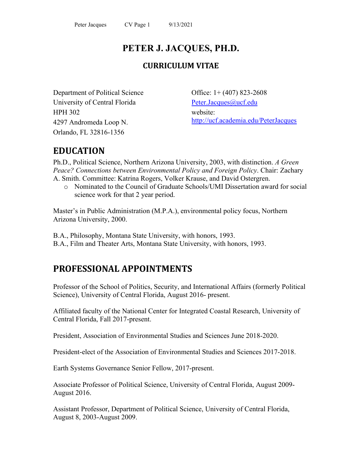# **PETER J. JACQUES, PH.D.**

# **CURRICULUM VITAE**

Department of Political Science University of Central Florida HPH 302 4297 Andromeda Loop N. Orlando, FL 32816-1356

Office: 1+ (407) 823-2608 [Peter.Jacques@ucf.edu](mailto:Peter.Jacques@ucf.edu) website: <http://ucf.academia.edu/PeterJacques>

# **EDUCATION**

Ph.D., Political Science, Northern Arizona University, 2003, with distinction. *A Green Peace? Connections between Environmental Policy and Foreign Policy*. Chair: Zachary A. Smith. Committee: Katrina Rogers, Volker Krause, and David Ostergren.

o Nominated to the Council of Graduate Schools/UMI Dissertation award for social science work for that 2 year period.

Master's in Public Administration (M.P.A.), environmental policy focus, Northern Arizona University, 2000.

B.A., Philosophy, Montana State University, with honors, 1993. B.A., Film and Theater Arts, Montana State University, with honors, 1993.

# **PROFESSIONAL APPOINTMENTS**

Professor of the School of Politics, Security, and International Affairs (formerly Political Science), University of Central Florida, August 2016- present.

Affiliated faculty of the National Center for Integrated Coastal Research, University of Central Florida, Fall 2017-present.

President, Association of Environmental Studies and Sciences June 2018-2020.

President-elect of the Association of Environmental Studies and Sciences 2017-2018.

Earth Systems Governance Senior Fellow, 2017-present.

Associate Professor of Political Science, University of Central Florida, August 2009- August 2016.

Assistant Professor, Department of Political Science, University of Central Florida, August 8, 2003-August 2009.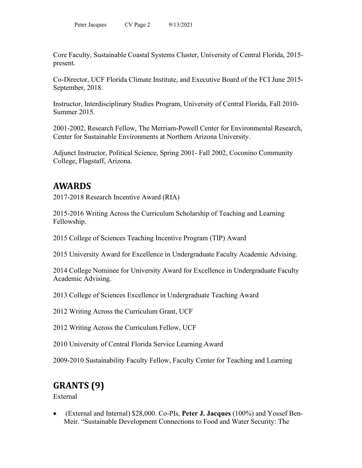Core Faculty, Sustainable Coastal Systems Cluster, University of Central Florida, 2015 present.

Co-Director, UCF Florida Climate Institute, and Executive Board of the FCI June 2015- September, 2018.

Instructor, Interdisciplinary Studies Program, University of Central Florida, Fall 2010- Summer 2015.

2001-2002, Research Fellow, The Merriam-Powell Center for Environmental Research, Center for Sustainable Environments at Northern Arizona University.

Adjunct Instructor, Political Science, Spring 2001- Fall 2002, Coconino Community College, Flagstaff, Arizona.

# **AWARDS**

2017-2018 Research Incentive Award (RIA)

2015-2016 Writing Across the Curriculum Scholarship of Teaching and Learning Fellowship.

2015 College of Sciences Teaching Incentive Program (TIP) Award

2015 University Award for Excellence in Undergraduate Faculty Academic Advising.

2014 College Nominee for University Award for Excellence in Undergraduate Faculty Academic Advising.

2013 College of Sciences Excellence in Undergraduate Teaching Award

2012 Writing Across the Curriculum Grant, UCF

2012 Writing Across the Curriculum Fellow, UCF

2010 University of Central Florida Service Learning Award

2009-2010 Sustainability Faculty Fellow, Faculty Center for Teaching and Learning

# **GRANTS (9)**

External

• (External and Internal) \$28,000. Co-PIs, **Peter J. Jacques** (100%) and Yossef Ben-Meir. "Sustainable Development Connections to Food and Water Security: The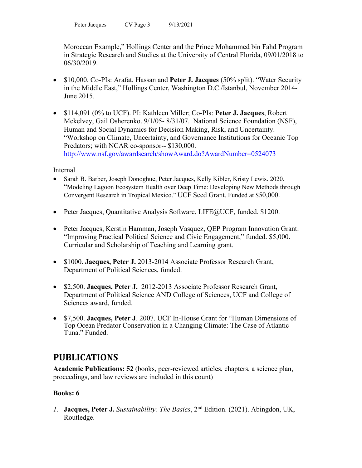Moroccan Example," Hollings Center and the Prince Mohammed bin Fahd Program in Strategic Research and Studies at the University of Central Florida, 09/01/2018 to 06/30/2019.

- \$10,000. Co-PIs: Arafat, Hassan and **Peter J. Jacques** (50% split). "Water Security in the Middle East," Hollings Center, Washington D.C./Istanbul, November 2014- June 2015.
- \$114,091 (0% to UCF). PI: Kathleen Miller; Co-PIs: **Peter J. Jacques**, Robert Mckelvey, Gail Osherenko. 9/1/05- 8/31/07. National Science Foundation (NSF), Human and Social Dynamics for Decision Making, Risk, and Uncertainty. "Workshop on Climate, Uncertainty, and Governance Institutions for Oceanic Top Predators; with NCAR co-sponsor-- \$130,000. <http://www.nsf.gov/awardsearch/showAward.do?AwardNumber=0524073>

Internal

- Sarah B. Barber, Joseph Donoghue, Peter Jacques, Kelly Kibler, Kristy Lewis. 2020. "Modeling Lagoon Ecosystem Health over Deep Time: Developing New Methods through Convergent Research in Tropical Mexico." UCF Seed Grant. Funded at \$50,000.
- Peter Jacques, Quantitative Analysis Software, LIFE@UCF, funded. \$1200.
- Peter Jacques, Kerstin Hamman, Joseph Vasquez, QEP Program Innovation Grant: "Improving Practical Political Science and Civic Engagement," funded. \$5,000. Curricular and Scholarship of Teaching and Learning grant.
- \$1000. **Jacques, Peter J.** 2013-2014 Associate Professor Research Grant, Department of Political Sciences, funded.
- \$2,500. **Jacques, Peter J.** 2012-2013 Associate Professor Research Grant, Department of Political Science AND College of Sciences, UCF and College of Sciences award, funded.
- \$7,500. **Jacques, Peter J**. 2007. UCF In-House Grant for "Human Dimensions of Top Ocean Predator Conservation in a Changing Climate: The Case of Atlantic Tuna." Funded.

# **PUBLICATIONS**

**Academic Publications: 52** (books, peer-reviewed articles, chapters, a science plan, proceedings, and law reviews are included in this count)

# **Books: 6**

*1.* **Jacques, Peter J.** *Sustainability: The Basics*, 2nd Edition. (2021). Abingdon, UK, Routledge.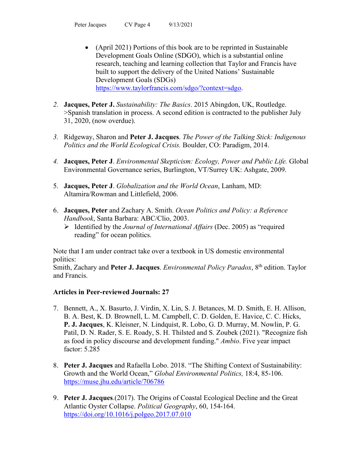- (April 2021) Portions of this book are to be reprinted in Sustainable Development Goals Online (SDGO), which is a substantial online research, teaching and learning collection that Taylor and Francis have built to support the delivery of the United Nations' Sustainable Development Goals (SDGs) [https://www.taylorfrancis.com/sdgo/?context=sdgo.](https://www.taylorfrancis.com/sdgo/?context=sdgo)
- *2.* **Jacques, Peter J.** *Sustainability: The Basics*. 2015 Abingdon, UK, Routledge. >Spanish translation in process. A second edition is contracted to the publisher July 31, 2020, (now overdue).
- *3.* Ridgeway, Sharon and **Peter J. Jacques**. *The Power of the Talking Stick: Indigenous Politics and the World Ecological Crisis.* Boulder, CO: Paradigm, 2014.
- *4.* **Jacques, Peter J**. *Environmental Skepticism: Ecology, Power and Public Life.* Global Environmental Governance series, Burlington, VT/Surrey UK: Ashgate, 2009.
- 5. **Jacques, Peter J**. *Globalization and the World Ocean*, Lanham, MD: Altamira/Rowman and Littlefield, 2006.
- 6. **Jacques, Peter** and Zachary A. Smith. *Ocean Politics and Policy: a Reference Handbook*, Santa Barbara: ABC/Clio, 2003.
	- Identified by the *Journal of International Affairs* (Dec. 2005) as "required reading" for ocean politics.

Note that I am under contract take over a textbook in US domestic environmental politics:

Smith, Zachary and Peter J. Jacques. *Environmental Policy Paradox*, 8<sup>th</sup> edition. Taylor and Francis.

# **Articles in Peer-reviewed Journals: 27**

- 7. Bennett, A., X. Basurto, J. Virdin, X. Lin, S. J. Betances, M. D. Smith, E. H. Allison, B. A. Best, K. D. Brownell, L. M. Campbell, C. D. Golden, E. Havice, C. C. Hicks, **P. J. Jacques**, K. Kleisner, N. Lindquist, R. Lobo, G. D. Murray, M. Nowlin, P. G. Patil, D. N. Rader, S. E. Roady, S. H. Thilsted and S. Zoubek (2021). "Recognize fish as food in policy discourse and development funding." *Ambio*. Five year impact factor: 5.285
- 8. **Peter J. Jacques** and Rafaella Lobo. 2018. "The Shifting Context of Sustainability: Growth and the World Ocean," *Global Environmental Politics,* 18:4, 85-106. <https://muse.jhu.edu/article/706786>
- 9. **Peter J. Jacques**.(2017). The Origins of Coastal Ecological Decline and the Great Atlantic Oyster Collapse. *Political Geography*, 60, 154-164. <https://doi.org/10.1016/j.polgeo.2017.07.010>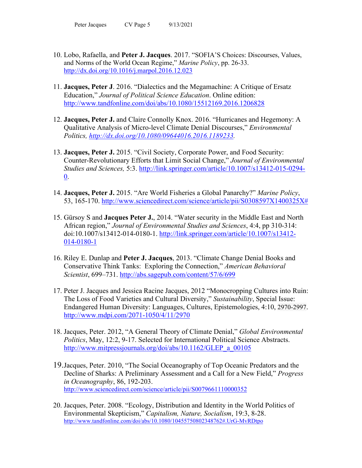- 10. Lobo, Rafaella, and **Peter J. Jacques**. 2017. "SOFIA'S Choices: Discourses, Values, and Norms of the World Ocean Regime," *Marine Policy*, pp. 26-33. <http://dx.doi.org/10.1016/j.marpol.2016.12.023>
- 11. **Jacques, Peter J**. 2016. "Dialectics and the Megamachine: A Critique of Ersatz Education," *Journal of Political Science Education*. Online edition: <http://www.tandfonline.com/doi/abs/10.1080/15512169.2016.1206828>
- 12. **Jacques, Peter J.** and Claire Connolly Knox. 2016. "Hurricanes and Hegemony: A Qualitative Analysis of Micro-level Climate Denial Discourses," *Environmental Politics, [http://dx.doi.org/10.1080/09644016.2016.1189233.](http://dx.doi.org/10.1080/09644016.2016.1189233)*
- 13. **Jacques, Peter J.** 2015. "Civil Society, Corporate Power, and Food Security: Counter-Revolutionary Efforts that Limit Social Change," *Journal of Environmental Studies and Sciences,* 5:3. [http://link.springer.com/article/10.1007/s13412-015-0294-](http://link.springer.com/article/10.1007/s13412-015-0294-0) [0.](http://link.springer.com/article/10.1007/s13412-015-0294-0)
- 14. **Jacques, Peter J.** 2015. "Are World Fisheries a Global Panarchy?" *Marine Policy*, 53, 165-170. [http://www.sciencedirect.com/science/article/pii/S0308597X1400325X#](http://www.sciencedirect.com/science/article/pii/S0308597X1400325X)
- 15. Gürsoy S and **Jacques Peter J.**, 2014. "Water security in the Middle East and North African region," *Journal of Environmental Studies and Sciences*, 4:4, pp 310-314: doi:10.1007/s13412-014-0180-1. [http://link.springer.com/article/10.1007/s13412-](http://link.springer.com/article/10.1007/s13412-014-0180-1) [014-0180-1](http://link.springer.com/article/10.1007/s13412-014-0180-1)
- 16. Riley E. Dunlap and **Peter J. Jacques**, 2013. "Climate Change Denial Books and Conservative Think Tanks: Exploring the Connection," *American Behavioral Scientist*, 699–731. <http://abs.sagepub.com/content/57/6/699>
- 17. Peter J. Jacques and Jessica Racine Jacques, 2012 "Monocropping Cultures into Ruin: The Loss of Food Varieties and Cultural Diversity," *Sustainability*, Special Issue: Endangered Human Diversity: Languages, Cultures, Epistemologies, 4:10, 2970-2997. <http://www.mdpi.com/2071-1050/4/11/2970>
- 18. Jacques, Peter. 2012, "A General Theory of Climate Denial," *Global Environmental Politics*, May, 12:2, 9-17. Selected for International Political Science Abstracts. [http://www.mitpressjournals.org/doi/abs/10.1162/GLEP\\_a\\_00105](http://www.mitpressjournals.org/doi/abs/10.1162/GLEP_a_00105)
- 19.Jacques, Peter. 2010, "The Social Oceanography of Top Oceanic Predators and the Decline of Sharks: A Preliminary Assessment and a Call for a New Field," *Progress in Oceanography*, 86, 192-203. <http://www.sciencedirect.com/science/article/pii/S0079661110000352>
- 20. Jacques, Peter. 2008. "Ecology, Distribution and Identity in the World Politics of Environmental Skepticism," *Capitalism, Nature, Socialism*, 19:3, 8-28. <http://www.tandfonline.com/doi/abs/10.1080/10455750802348762#.UrG-MvRDtpo>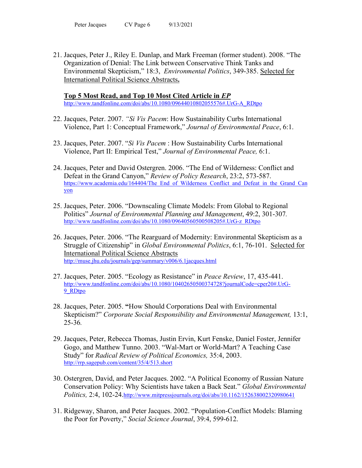21. Jacques, Peter J., Riley E. Dunlap, and Mark Freeman (former student). 2008. "The Organization of Denial: The Link between Conservative Think Tanks and Environmental Skepticism," 18:3, *Environmental Politics*, 349-385. Selected for International Political Science Abstracts**.** 

**Top 5 Most Read, and Top 10 Most Cited Article in** *EP* [http://www.tandfonline.com/doi/abs/10.1080/09644010802055576#.UrG-A\\_RDtpo](http://www.tandfonline.com/doi/abs/10.1080/09644010802055576#.UrG-A_RDtpo)

- 22. Jacques, Peter. 2007. *"Si Vis Pacem*: How Sustainability Curbs International Violence, Part 1: Conceptual Framework," *Journal of Environmental Peace*, 6:1.
- 23. Jacques, Peter. 2007. "*Si Vis Pacem* : How Sustainability Curbs International Violence, Part II: Empirical Test," *Journal of Environmental Peace,* 6:1.
- 24. Jacques, Peter and David Ostergren. 2006. "The End of Wilderness: Conflict and Defeat in the Grand Canyon," *Review of Policy Research*, 23:2, 573-587. [https://www.academia.edu/164404/The\\_End\\_of\\_Wilderness\\_Conflict\\_and\\_Defeat\\_in\\_the\\_Grand\\_Can](https://www.academia.edu/164404/The_End_of_Wilderness_Conflict_and_Defeat_in_the_Grand_Canyon) [yon](https://www.academia.edu/164404/The_End_of_Wilderness_Conflict_and_Defeat_in_the_Grand_Canyon)
- 25. Jacques, Peter. 2006. "Downscaling Climate Models: From Global to Regional Politics" *Journal of Environmental Planning and Management*, 49:2, 301-307*.* [http://www.tandfonline.com/doi/abs/10.1080/09640560500508205#.UrG-z\\_RDtpo](http://www.tandfonline.com/doi/abs/10.1080/09640560500508205#.UrG-z_RDtpo)
- 26. Jacques, Peter. 2006. "The Rearguard of Modernity: Environmental Skepticism as a Struggle of Citizenship" in *Global Environmental Politics*, 6:1, 76-101. Selected for International Political Science Abstracts <http://muse.jhu.edu/journals/gep/summary/v006/6.1jacques.html>
- 27. Jacques, Peter. 2005. "Ecology as Resistance" in *Peace Review*, 17, 435-441. [http://www.tandfonline.com/doi/abs/10.1080/10402650500374728?journalCode=cper20#.UrG-](http://www.tandfonline.com/doi/abs/10.1080/10402650500374728?journalCode=cper20#.UrG-9_RDtpo)[9\\_RDtpo](http://www.tandfonline.com/doi/abs/10.1080/10402650500374728?journalCode=cper20#.UrG-9_RDtpo)
- 28. Jacques, Peter. 2005. **"**How Should Corporations Deal with Environmental Skepticism?" *Corporate Social Responsibility and Environmental Management,* 13:1, 25-36*.*
- 29. Jacques, Peter, Rebecca Thomas, Justin Ervin, Kurt Fenske, Daniel Foster, Jennifer Gogo, and Matthew Tunno. 2003. "Wal-Mart or World-Mart? A Teaching Case Study" for *Radical Review of Political Economics,* 35:4, 2003. <http://rrp.sagepub.com/content/35/4/513.short>
- 30. Ostergren, David, and Peter Jacques. 2002. "A Political Economy of Russian Nature Conservation Policy: Why Scientists have taken a Back Seat." *Global Environmental Politics,* 2:4, 102-24[.http://www.mitpressjournals.org/doi/abs/10.1162/152638002320980641](http://www.mitpressjournals.org/doi/abs/10.1162/152638002320980641)
- 31. Ridgeway, Sharon, and Peter Jacques. 2002. "Population-Conflict Models: Blaming the Poor for Poverty," *Social Science Journal*, 39:4, 599-612.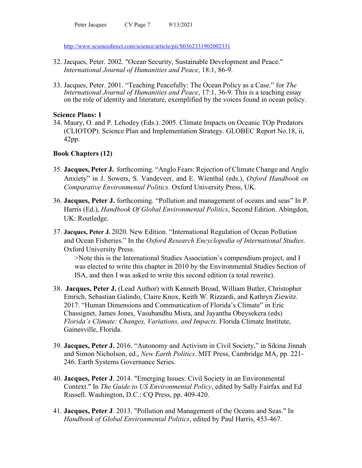Peter Jacques CV Page 7 9/13/2021

<http://www.sciencedirect.com/science/article/pii/S0362331902002331>

- 32. Jacques, Peter. 2002. "Ocean Security, Sustainable Development and Peace." *International Journal of Humanities and Peace*, 18:1, 86-9.
- 33. Jacques, Peter. 2001. "Teaching Peacefully: The Ocean Policy as a Case." for *The International Journal of Humanities and Peace*, 17:1, 36-9. This is a teaching essay on the role of identity and literature, exemplified by the voices found in ocean policy.

#### **Science Plans: 1**

34. Maury, O. and P. Lehodey (Eds.). 2005. Climate Impacts on Oceanic TOp Predators (CLIOTOP). Science Plan and Implementation Strategy. GLOBEC Report No.18, ii, 42pp.

## **Book Chapters (12)**

- 35. **Jacques, Peter J.** forthcoming. "Anglo Fears: Rejection of Climate Change and Anglo Anxiety" in J. Sowers, S. Vandeveer, and E. Wienthal (eds.), *Oxford Handbook on Comparative Environmental Politics*. Oxford University Press, UK.
- 36. **Jacques, Peter J.** forthcoming. "Pollution and management of oceans and seas" In P. Harris (Ed.), *Handbook Of Global Environmental Politics*, Second Edition. Abingdon, UK: Routledge.
- 37. **Jacques, Peter J.** 2020. New Edition. "International Regulation of Ocean Pollution and Ocean Fisheries." In the *Oxford Research Encyclopedia of International Studies*. Oxford University Press.

>Note this is the International Studies Association's compendium project, and I was elected to write this chapter in 2010 by the Environmental Studies Section of ISA, and then I was asked to write this second edition (a total rewrite).

- 38. **Jacques, Peter J.** (Lead Author) with Kenneth Broad, William Butler, Christopher Emrich, Sebastian Galindo, Claire Knox, Keith W. Rizzardi, and Kathryn Ziewitz. 2017. "Human Dimensions and Communication of Florida's Climate" in Eric Chassignet, James Jones, Vasubandhu Misra, and Jayantha Obeysekera (eds) *Florida's Climate: Changes, Variations, and Impacts*. Florida Climate Institute, Gainesville, Florida.
- 39. **Jacques, Peter J.** 2016. "Autonomy and Activism in Civil Society," in Sikina Jinnah and Simon Nicholson, ed., *New Earth Politics*. MIT Press, Cambridge MA, pp. 221- 246. Earth Systems Governance Series.
- 40. **Jacques, Peter J**. 2014. "Emerging Issues: Civil Society in an Environmental Context." In *The Guide to US Environmental Policy*, edited by Sally Fairfax and Ed Russell. Washington, D.C.: CQ Press, pp. 409-420.
- 41. **Jacques, Peter J**. 2013. "Pollution and Management of the Oceans and Seas." In *Handbook of Global Environmental Politics*, edited by Paul Harris, 453-467.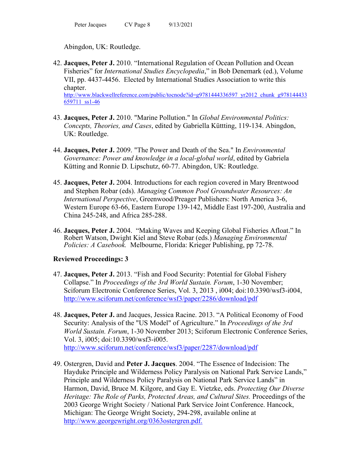Abingdon, UK: Routledge.

- 42. **Jacques, Peter J.** 2010. "International Regulation of Ocean Pollution and Ocean Fisheries" for *International Studies Encyclopedia*," in Bob Denemark (ed.), Volume VII, pp. 4437-4456. Elected by International Studies Association to write this chapter. [http://www.blackwellreference.com/public/tocnode?id=g9781444336597\\_yr2012\\_chunk\\_g978144433](http://www.blackwellreference.com/public/tocnode?id=g9781444336597_yr2012_chunk_g978144433659711_ss1-46) [659711\\_ss1-46](http://www.blackwellreference.com/public/tocnode?id=g9781444336597_yr2012_chunk_g978144433659711_ss1-46)
- 43. **Jacques, Peter J.** 2010. "Marine Pollution." In *Global Environmental Politics: Concepts, Theories, and Cases*, edited by Gabriella Küttting, 119-134. Abingdon, UK: Routledge.
- 44. **Jacques, Peter J.** 2009. "The Power and Death of the Sea." In *Environmental Governance: Power and knowledge in a local-global world*, edited by Gabriela Kütting and Ronnie D. Lipschutz, 60-77. Abingdon, UK: Routledge.
- 45. **Jacques, Peter J.** 2004. Introductions for each region covered in Mary Brentwood and Stephen Robar (eds). *Managing Common Pool Groundwater Resources: An International Perspective*, Greenwood/Preager Publishers: North America 3-6, Western Europe 63-66, Eastern Europe 139-142, Middle East 197-200, Australia and China 245-248, and Africa 285-288.
- 46. **Jacques, Peter J.** 2004. "Making Waves and Keeping Global Fisheries Afloat." In Robert Watson, Dwight Kiel and Steve Robar (eds.) *Managing Environmental Policies: A Casebook.* Melbourne, Florida: Krieger Publishing, pp 72-78.

# **Reviewed Proceedings: 3**

- 47. **Jacques, Peter J.** 2013. "Fish and Food Security: Potential for Global Fishery Collapse." In *Proceedings of the 3rd World Sustain. Forum*, 1-30 November; Sciforum Electronic Conference Series, Vol. 3, 2013 , i004; doi:10.3390/wsf3-i004, <http://www.sciforum.net/conference/wsf3/paper/2286/download/pdf>
- 48. **Jacques, Peter J.** and Jacques, Jessica Racine. 2013. "A Political Economy of Food Security: Analysis of the "US Model" of Agriculture." In *Proceedings of the 3rd World Sustain. Forum*, 1-30 November 2013; Sciforum Electronic Conference Series, Vol. 3, i005; doi:10.3390/wsf3-i005. <http://www.sciforum.net/conference/wsf3/paper/2287/download/pdf>
- 49. Ostergren, David and **Peter J. Jacques**. 2004. "The Essence of Indecision: The Hayduke Principle and Wilderness Policy Paralysis on National Park Service Lands," Principle and Wilderness Policy Paralysis on National Park Service Lands" in Harmon, David, Bruce M. Kilgore, and Gay E. Vietzke, eds. *Protecting Our Diverse Heritage: The Role of Parks, Protected Areas, and Cultural Sites.* Proceedings of the 2003 George Wright Society / National Park Service Joint Conference. Hancock, Michigan: The George Wright Society, 294-298, available online at [http://www.georgewright.org/0363ostergren.pdf.](http://www.georgewright.org/0363ostergren.pdf)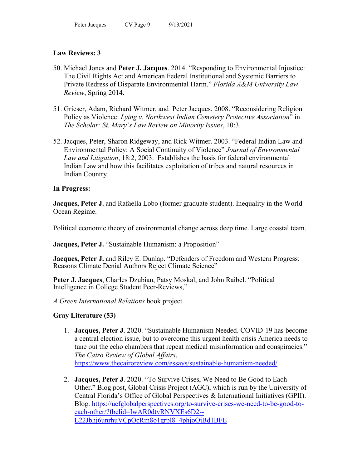# **Law Reviews: 3**

- 50. Michael Jones and **Peter J. Jacques**. 2014. "Responding to Environmental Injustice: The Civil Rights Act and American Federal Institutional and Systemic Barriers to Private Redress of Disparate Environmental Harm." *Florida A&M University Law Review*, Spring 2014.
- 51. Grieser, Adam, Richard Witmer, and Peter Jacques. 2008. "Reconsidering Religion Policy as Violence: *Lying v. Northwest Indian Cemetery Protective Association*" in *The Scholar: St. Mary's Law Review on Minority Issues*, 10:3.
- 52. Jacques, Peter, Sharon Ridgeway, and Rick Witmer. 2003. "Federal Indian Law and Environmental Policy: A Social Continuity of Violence" *Journal of Environmental Law and Litigation*, 18:2, 2003. Establishes the basis for federal environmental Indian Law and how this facilitates exploitation of tribes and natural resources in Indian Country.

## **In Progress:**

**Jacques, Peter J.** and Rafaella Lobo (former graduate student). Inequality in the World Ocean Regime.

Political economic theory of environmental change across deep time. Large coastal team.

**Jacques, Peter J.** "Sustainable Humanism: a Proposition"

**Jacques, Peter J.** and Riley E. Dunlap. "Defenders of Freedom and Western Progress: Reasons Climate Denial Authors Reject Climate Science"

**Peter J. Jacques**, Charles Dzubian, Patsy Moskal, and John Raibel. "Political Intelligence in College Student Peer-Reviews,"

## *A Green International Relations* book project

## **Gray Literature (53)**

- 1. **Jacques, Peter J**. 2020. "Sustainable Humanism Needed. COVID-19 has become a central election issue, but to overcome this urgent health crisis America needs to tune out the echo chambers that repeat medical misinformation and conspiracies." *The Cairo Review of Global Affairs*, <https://www.thecairoreview.com/essays/sustainable-humanism-needed/>
- 2. **Jacques, Peter J**. 2020. "To Survive Crises, We Need to Be Good to Each Other." Blog post, Global Crisis Project (AGC), which is run by the University of Central Florida's Office of Global Perspectives & International Initiatives (GPII). Blog. [https://ucfglobalperspectives.org/to-survive-crises-we-need-to-be-good-to](https://ucfglobalperspectives.org/to-survive-crises-we-need-to-be-good-to-each-other/?fbclid=IwAR0dtvRNVXEs6D2--L22Jbhj6unrhuVCpOcRm8o1grpl8_4phjoOjBd1BFE)[each-other/?fbclid=IwAR0dtvRNVXEs6D2--](https://ucfglobalperspectives.org/to-survive-crises-we-need-to-be-good-to-each-other/?fbclid=IwAR0dtvRNVXEs6D2--L22Jbhj6unrhuVCpOcRm8o1grpl8_4phjoOjBd1BFE) [L22Jbhj6unrhuVCpOcRm8o1grpl8\\_4phjoOjBd1BFE](https://ucfglobalperspectives.org/to-survive-crises-we-need-to-be-good-to-each-other/?fbclid=IwAR0dtvRNVXEs6D2--L22Jbhj6unrhuVCpOcRm8o1grpl8_4phjoOjBd1BFE)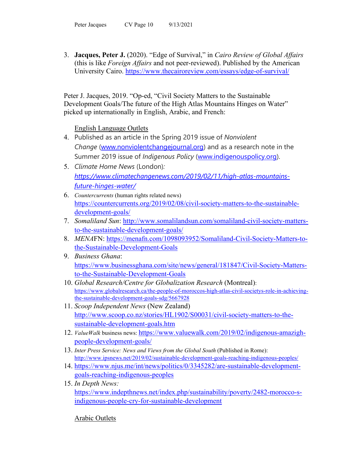3. **Jacques, Peter J.** (2020). "Edge of Survival," in *Cairo Review of Global Affairs* (this is like *Foreign Affairs* and not peer-reviewed). Published by the American University Cairo.<https://www.thecairoreview.com/essays/edge-of-survival/>

Peter J. Jacques, 2019. "Op-ed, "Civil Society Matters to the Sustainable Development Goals/The future of the High Atlas Mountains Hinges on Water" picked up internationally in English, Arabic, and French:

English Language Outlets

- 4. Published as an article in the Spring 2019 issue of *Nonviolent Change* [\(www.nonviolentchangejournal.org\)](https://na01.safelinks.protection.outlook.com/?url=http%3A%2F%2Fwww.nonviolentchangejournal.org&data=02%7C01%7CPeter.Jacques%40ucf.edu%7Cef24bc5929eb4226691a08d68d2f4288%7Cbb932f15ef3842ba91fcf3c59d5dd1f1%7C0%7C1%7C636851631459599240&sdata=DpaufqOiVvW1XnH%2BiDUo8%2BD2rjkdr42VNQmfCYX705s%3D&reserved=0) and as a research note in the Summer 2019 issue of *Indigenous Policy* [\(www.indigenouspolicy.org\)](https://na01.safelinks.protection.outlook.com/?url=http%3A%2F%2Fwww.indigenouspolicy.org&data=02%7C01%7CPeter.Jacques%40ucf.edu%7Cef24bc5929eb4226691a08d68d2f4288%7Cbb932f15ef3842ba91fcf3c59d5dd1f1%7C0%7C1%7C636851631459599240&sdata=8Nf70uHhNvbL54sR3lvU%2Fx3RtMZxuLmDKoOYtfJ%2FWps%3D&reserved=0).
- 5. *Climate Home News* (London)*: [https://www.climatechangenews.com/2019/02/11/high-atlas-mountains](https://www.climatechangenews.com/2019/02/11/high-atlas-mountains-future-hinges-water/)[future-hinges-water/](https://www.climatechangenews.com/2019/02/11/high-atlas-mountains-future-hinges-water/)*
- 6. *Countercurrents* (human rights related news) [https://countercurrents.org/2019/02/08/civil-society-matters-to-the-sustainable](https://countercurrents.org/2019/02/08/civil-society-matters-to-the-sustainable-development-goals/)[development-goals/](https://countercurrents.org/2019/02/08/civil-society-matters-to-the-sustainable-development-goals/)
- 7. *Somaliland Sun*: [http://www.somalilandsun.com/somaliland-civil-society-matters](http://www.somalilandsun.com/somaliland-civil-society-matters-to-the-sustainable-development-goals/)[to-the-sustainable-development-goals/](http://www.somalilandsun.com/somaliland-civil-society-matters-to-the-sustainable-development-goals/)
- 8. *MENA*FN: [https://menafn.com/1098093952/Somaliland-Civil-Society-Matters-to](https://menafn.com/1098093952/Somaliland-Civil-Society-Matters-to-the-Sustainable-Development-Goals)[the-Sustainable-Development-Goals](https://menafn.com/1098093952/Somaliland-Civil-Society-Matters-to-the-Sustainable-Development-Goals)
- 9. *Business Ghana*: [https://www.businessghana.com/site/news/general/181847/Civil-Society-Matters](https://www.businessghana.com/site/news/general/181847/Civil-Society-Matters-to-the-Sustainable-Development-Goals)[to-the-Sustainable-Development-Goals](https://www.businessghana.com/site/news/general/181847/Civil-Society-Matters-to-the-Sustainable-Development-Goals)
- 10. *Global Research/Centre for Globalization Research* (Montreal): [https://www.globalresearch.ca/the-people-of-moroccos-high-atlas-civil-societys-role-in-achieving](https://www.globalresearch.ca/the-people-of-moroccos-high-atlas-civil-societys-role-in-achieving-the-sustainable-development-goals-sdg/5667928)[the-sustainable-development-goals-sdg/5667928](https://www.globalresearch.ca/the-people-of-moroccos-high-atlas-civil-societys-role-in-achieving-the-sustainable-development-goals-sdg/5667928)
- 11. *Scoop Independent News* (New Zealand) [http://www.scoop.co.nz/stories/HL1902/S00031/civil-society-matters-to-the](http://www.scoop.co.nz/stories/HL1902/S00031/civil-society-matters-to-the-sustainable-development-goals.htm)[sustainable-development-goals.htm](http://www.scoop.co.nz/stories/HL1902/S00031/civil-society-matters-to-the-sustainable-development-goals.htm)
- 12. *ValueWalk* business news[: https://www.valuewalk.com/2019/02/indigenous-amazigh](https://www.valuewalk.com/2019/02/indigenous-amazigh-people-development-goals/)[people-development-goals/](https://www.valuewalk.com/2019/02/indigenous-amazigh-people-development-goals/)
- 13. *Inter Press Service: News and Views from the Global South* (Published in Rome): <http://www.ipsnews.net/2019/02/sustainable-development-goals-reaching-indigenous-peoples/>
- 14. [https://www.njus.me/int/news/politics/0/3345282/are-sustainable-development](https://www.njus.me/int/news/politics/0/3345282/are-sustainable-development-goals-reaching-indigenous-peoples)[goals-reaching-indigenous-peoples](https://www.njus.me/int/news/politics/0/3345282/are-sustainable-development-goals-reaching-indigenous-peoples)
- 15. *In Depth News:*  [https://www.indepthnews.net/index.php/sustainability/poverty/2482-morocco-s](https://www.indepthnews.net/index.php/sustainability/poverty/2482-morocco-s-indigenous-people-cry-for-sustainable-development)[indigenous-people-cry-for-sustainable-development](https://www.indepthnews.net/index.php/sustainability/poverty/2482-morocco-s-indigenous-people-cry-for-sustainable-development)

Arabic Outlets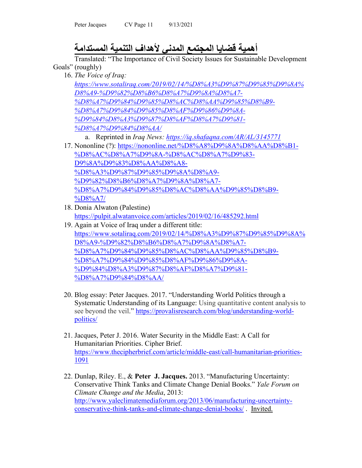# **أھمیة قضایا المجتمع المدني لأھداف التنمیة المستدامة**

Translated: "The Importance of Civil Society Issues for Sustainable Development Goals" (roughly)

- 16. *The Voice of Iraq: [https://www.sotaliraq.com/2019/02/14/%D8%A3%D9%87%D9%85%D9%8A%](https://www.sotaliraq.com/2019/02/14/%D8%A3%D9%87%D9%85%D9%8A%D8%A9-%D9%82%D8%B6%D8%A7%D9%8A%D8%A7-%D8%A7%D9%84%D9%85%D8%AC%D8%AA%D9%85%D8%B9-%D8%A7%D9%84%D9%85%D8%AF%D9%86%D9%8A-%D9%84%D8%A3%D9%87%D8%AF%D8%A7%D9%81-%D8%A7%D9%84%D8%AA/) [D8%A9-%D9%82%D8%B6%D8%A7%D9%8A%D8%A7-](https://www.sotaliraq.com/2019/02/14/%D8%A3%D9%87%D9%85%D9%8A%D8%A9-%D9%82%D8%B6%D8%A7%D9%8A%D8%A7-%D8%A7%D9%84%D9%85%D8%AC%D8%AA%D9%85%D8%B9-%D8%A7%D9%84%D9%85%D8%AF%D9%86%D9%8A-%D9%84%D8%A3%D9%87%D8%AF%D8%A7%D9%81-%D8%A7%D9%84%D8%AA/) [%D8%A7%D9%84%D9%85%D8%AC%D8%AA%D9%85%D8%B9-](https://www.sotaliraq.com/2019/02/14/%D8%A3%D9%87%D9%85%D9%8A%D8%A9-%D9%82%D8%B6%D8%A7%D9%8A%D8%A7-%D8%A7%D9%84%D9%85%D8%AC%D8%AA%D9%85%D8%B9-%D8%A7%D9%84%D9%85%D8%AF%D9%86%D9%8A-%D9%84%D8%A3%D9%87%D8%AF%D8%A7%D9%81-%D8%A7%D9%84%D8%AA/) [%D8%A7%D9%84%D9%85%D8%AF%D9%86%D9%8A-](https://www.sotaliraq.com/2019/02/14/%D8%A3%D9%87%D9%85%D9%8A%D8%A9-%D9%82%D8%B6%D8%A7%D9%8A%D8%A7-%D8%A7%D9%84%D9%85%D8%AC%D8%AA%D9%85%D8%B9-%D8%A7%D9%84%D9%85%D8%AF%D9%86%D9%8A-%D9%84%D8%A3%D9%87%D8%AF%D8%A7%D9%81-%D8%A7%D9%84%D8%AA/) [%D9%84%D8%A3%D9%87%D8%AF%D8%A7%D9%81-](https://www.sotaliraq.com/2019/02/14/%D8%A3%D9%87%D9%85%D9%8A%D8%A9-%D9%82%D8%B6%D8%A7%D9%8A%D8%A7-%D8%A7%D9%84%D9%85%D8%AC%D8%AA%D9%85%D8%B9-%D8%A7%D9%84%D9%85%D8%AF%D9%86%D9%8A-%D9%84%D8%A3%D9%87%D8%AF%D8%A7%D9%81-%D8%A7%D9%84%D8%AA/) [%D8%A7%D9%84%D8%AA/](https://www.sotaliraq.com/2019/02/14/%D8%A3%D9%87%D9%85%D9%8A%D8%A9-%D9%82%D8%B6%D8%A7%D9%8A%D8%A7-%D8%A7%D9%84%D9%85%D8%AC%D8%AA%D9%85%D8%B9-%D8%A7%D9%84%D9%85%D8%AF%D9%86%D9%8A-%D9%84%D8%A3%D9%87%D8%AF%D8%A7%D9%81-%D8%A7%D9%84%D8%AA/)*
	- a. Reprinted in *Iraq News:<https://iq.shafaqna.com/AR/AL/3145771>*
- 17. Nononline (?): [https://nononline.net/%D8%A8%D9%8A%D8%AA%D8%B1-](https://nononline.net/%D8%A8%D9%8A%D8%AA%D8%B1-%D8%AC%D8%A7%D9%8A-%D8%AC%D8%A7%D9%83-D9%8A%D9%83%D8%AA%D8%A8-%D8%A3%D9%87%D9%85%D9%8A%D8%A9-%D9%82%D8%B6%D8%A7%D9%8A%D8%A7-%D8%A7%D9%84%D9%85%D8%AC%D8%AA%D9%85%D8%B9-%D8%A7/) [%D8%AC%D8%A7%D9%8A-%D8%AC%D8%A7%D9%83-](https://nononline.net/%D8%A8%D9%8A%D8%AA%D8%B1-%D8%AC%D8%A7%D9%8A-%D8%AC%D8%A7%D9%83-D9%8A%D9%83%D8%AA%D8%A8-%D8%A3%D9%87%D9%85%D9%8A%D8%A9-%D9%82%D8%B6%D8%A7%D9%8A%D8%A7-%D8%A7%D9%84%D9%85%D8%AC%D8%AA%D9%85%D8%B9-%D8%A7/) [D9%8A%D9%83%D8%AA%D8%A8-](https://nononline.net/%D8%A8%D9%8A%D8%AA%D8%B1-%D8%AC%D8%A7%D9%8A-%D8%AC%D8%A7%D9%83-D9%8A%D9%83%D8%AA%D8%A8-%D8%A3%D9%87%D9%85%D9%8A%D8%A9-%D9%82%D8%B6%D8%A7%D9%8A%D8%A7-%D8%A7%D9%84%D9%85%D8%AC%D8%AA%D9%85%D8%B9-%D8%A7/) [%D8%A3%D9%87%D9%85%D9%8A%D8%A9-](https://nononline.net/%D8%A8%D9%8A%D8%AA%D8%B1-%D8%AC%D8%A7%D9%8A-%D8%AC%D8%A7%D9%83-D9%8A%D9%83%D8%AA%D8%A8-%D8%A3%D9%87%D9%85%D9%8A%D8%A9-%D9%82%D8%B6%D8%A7%D9%8A%D8%A7-%D8%A7%D9%84%D9%85%D8%AC%D8%AA%D9%85%D8%B9-%D8%A7/) [%D9%82%D8%B6%D8%A7%D9%8A%D8%A7-](https://nononline.net/%D8%A8%D9%8A%D8%AA%D8%B1-%D8%AC%D8%A7%D9%8A-%D8%AC%D8%A7%D9%83-D9%8A%D9%83%D8%AA%D8%A8-%D8%A3%D9%87%D9%85%D9%8A%D8%A9-%D9%82%D8%B6%D8%A7%D9%8A%D8%A7-%D8%A7%D9%84%D9%85%D8%AC%D8%AA%D9%85%D8%B9-%D8%A7/) [%D8%A7%D9%84%D9%85%D8%AC%D8%AA%D9%85%D8%B9-](https://nononline.net/%D8%A8%D9%8A%D8%AA%D8%B1-%D8%AC%D8%A7%D9%8A-%D8%AC%D8%A7%D9%83-D9%8A%D9%83%D8%AA%D8%A8-%D8%A3%D9%87%D9%85%D9%8A%D8%A9-%D9%82%D8%B6%D8%A7%D9%8A%D8%A7-%D8%A7%D9%84%D9%85%D8%AC%D8%AA%D9%85%D8%B9-%D8%A7/) [%D8%A7/](https://nononline.net/%D8%A8%D9%8A%D8%AA%D8%B1-%D8%AC%D8%A7%D9%8A-%D8%AC%D8%A7%D9%83-D9%8A%D9%83%D8%AA%D8%A8-%D8%A3%D9%87%D9%85%D9%8A%D8%A9-%D9%82%D8%B6%D8%A7%D9%8A%D8%A7-%D8%A7%D9%84%D9%85%D8%AC%D8%AA%D9%85%D8%B9-%D8%A7/)
- 18. Donia Alwaton (Palestine) <https://pulpit.alwatanvoice.com/articles/2019/02/16/485292.html>
- 19. Again at Voice of Iraq under a different title: [https://www.sotaliraq.com/2019/02/14/%D8%A3%D9%87%D9%85%D9%8A%](https://www.sotaliraq.com/2019/02/14/%D8%A3%D9%87%D9%85%D9%8A%D8%A9-%D9%82%D8%B6%D8%A7%D9%8A%D8%A7-%D8%A7%D9%84%D9%85%D8%AC%D8%AA%D9%85%D8%B9-%D8%A7%D9%84%D9%85%D8%AF%D9%86%D9%8A-%D9%84%D8%A3%D9%87%D8%AF%D8%A7%D9%81-%D8%A7%D9%84%D8%AA/) [D8%A9-%D9%82%D8%B6%D8%A7%D9%8A%D8%A7-](https://www.sotaliraq.com/2019/02/14/%D8%A3%D9%87%D9%85%D9%8A%D8%A9-%D9%82%D8%B6%D8%A7%D9%8A%D8%A7-%D8%A7%D9%84%D9%85%D8%AC%D8%AA%D9%85%D8%B9-%D8%A7%D9%84%D9%85%D8%AF%D9%86%D9%8A-%D9%84%D8%A3%D9%87%D8%AF%D8%A7%D9%81-%D8%A7%D9%84%D8%AA/) [%D8%A7%D9%84%D9%85%D8%AC%D8%AA%D9%85%D8%B9-](https://www.sotaliraq.com/2019/02/14/%D8%A3%D9%87%D9%85%D9%8A%D8%A9-%D9%82%D8%B6%D8%A7%D9%8A%D8%A7-%D8%A7%D9%84%D9%85%D8%AC%D8%AA%D9%85%D8%B9-%D8%A7%D9%84%D9%85%D8%AF%D9%86%D9%8A-%D9%84%D8%A3%D9%87%D8%AF%D8%A7%D9%81-%D8%A7%D9%84%D8%AA/) [%D8%A7%D9%84%D9%85%D8%AF%D9%86%D9%8A-](https://www.sotaliraq.com/2019/02/14/%D8%A3%D9%87%D9%85%D9%8A%D8%A9-%D9%82%D8%B6%D8%A7%D9%8A%D8%A7-%D8%A7%D9%84%D9%85%D8%AC%D8%AA%D9%85%D8%B9-%D8%A7%D9%84%D9%85%D8%AF%D9%86%D9%8A-%D9%84%D8%A3%D9%87%D8%AF%D8%A7%D9%81-%D8%A7%D9%84%D8%AA/) [%D9%84%D8%A3%D9%87%D8%AF%D8%A7%D9%81-](https://www.sotaliraq.com/2019/02/14/%D8%A3%D9%87%D9%85%D9%8A%D8%A9-%D9%82%D8%B6%D8%A7%D9%8A%D8%A7-%D8%A7%D9%84%D9%85%D8%AC%D8%AA%D9%85%D8%B9-%D8%A7%D9%84%D9%85%D8%AF%D9%86%D9%8A-%D9%84%D8%A3%D9%87%D8%AF%D8%A7%D9%81-%D8%A7%D9%84%D8%AA/) [%D8%A7%D9%84%D8%AA/](https://www.sotaliraq.com/2019/02/14/%D8%A3%D9%87%D9%85%D9%8A%D8%A9-%D9%82%D8%B6%D8%A7%D9%8A%D8%A7-%D8%A7%D9%84%D9%85%D8%AC%D8%AA%D9%85%D8%B9-%D8%A7%D9%84%D9%85%D8%AF%D9%86%D9%8A-%D9%84%D8%A3%D9%87%D8%AF%D8%A7%D9%81-%D8%A7%D9%84%D8%AA/)
- 20. Blog essay: Peter Jacques. 2017. "Understanding World Politics through a Systematic Understanding of its Language: Using quantitative content analysis to see beyond the veil." [https://provalisresearch.com/blog/understanding-world](https://provalisresearch.com/blog/understanding-world-politics/)[politics/](https://provalisresearch.com/blog/understanding-world-politics/)
- 21. Jacques, Peter J. 2016. Water Security in the Middle East: A Call for Humanitarian Priorities. Cipher Brief. [https://www.thecipherbrief.com/article/middle-east/call-humanitarian-priorities-](https://www.thecipherbrief.com/article/middle-east/call-humanitarian-priorities-1091)[1091](https://www.thecipherbrief.com/article/middle-east/call-humanitarian-priorities-1091)
- 22. Dunlap, Riley. E., & **Peter J. Jacques.** 2013. "Manufacturing Uncertainty: Conservative Think Tanks and Climate Change Denial Books." *Yale Forum on Climate Change and the Media*, 2013: [http://www.yaleclimatemediaforum.org/2013/06/manufacturing-uncertainty](http://www.yaleclimatemediaforum.org/2013/06/manufacturing-uncertainty-conservative-think-tanks-and-climate-change-denial-books/)[conservative-think-tanks-and-climate-change-denial-books/](http://www.yaleclimatemediaforum.org/2013/06/manufacturing-uncertainty-conservative-think-tanks-and-climate-change-denial-books/) . Invited.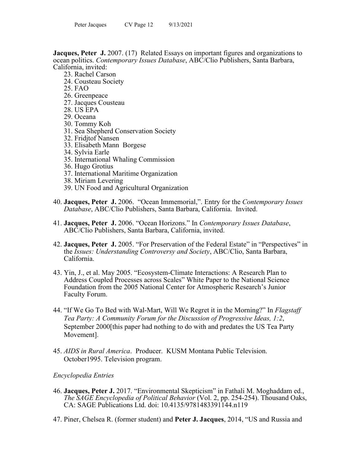**Jacques, Peter J.** 2007. (17) Related Essays on important figures and organizations to ocean politics. *Contemporary Issues Database*, ABC/Clio Publishers, Santa Barbara, California, invited:

- 23. Rachel Carson
- 24. Cousteau Society
- 25. FAO
- 26. Greenpeace
- 27. Jacques Cousteau
- 28. US EPA
- 29. Oceana
- 30. Tommy Koh
- 31. Sea Shepherd Conservation Society
- 32. Fridjtof Nansen
- 33. Elisabeth Mann Borgese
- 34. Sylvia Earle
- 35. International Whaling Commission
- 36. Hugo Grotius
- 37. International Maritime Organization
- 38. Miriam Levering
- 39. UN Food and Agricultural Organization
- 40. **Jacques, Peter J.** 2006. "Ocean Immemorial,". Entry for the *Contemporary Issues Database*, ABC/Clio Publishers, Santa Barbara, California. Invited.
- 41. **Jacques, Peter J.** 2006. "Ocean Horizons." In *Contemporary Issues Database*, ABC/Clio Publishers, Santa Barbara, California, invited.
- 42. **Jacques, Peter J.** 2005. "For Preservation of the Federal Estate" in "Perspectives" in the *Issues: Understanding Controversy and Society*, ABC/Clio, Santa Barbara, California.
- 43. Yin, J., et al. May 2005. "Ecosystem-Climate Interactions: A Research Plan to Address Coupled Processes across Scales" White Paper to the National Science Foundation from the 2005 National Center for Atmospheric Research's Junior Faculty Forum.
- 44. "If We Go To Bed with Wal-Mart, Will We Regret it in the Morning?" In *Flagstaff Tea Party: A Community Forum for the Discussion of Progressive Ideas, 1:2*, September 2000[this paper had nothing to do with and predates the US Tea Party Movement].
- 45. *AIDS in Rural America*. Producer. KUSM Montana Public Television. October1995. Television program.

## *Encyclopedia Entries*

- 46. **Jacques, Peter J.** 2017. "Environmental Skepticism" in Fathali M. Moghaddam ed., *The SAGE Encyclopedia of Political Behavior* (Vol. 2, pp. 254-254). Thousand Oaks, CA: SAGE Publications Ltd. doi: 10.4135/9781483391144.n119
- 47. Piner, Chelsea R. (former student) and **Peter J. Jacques**, 2014, "US and Russia and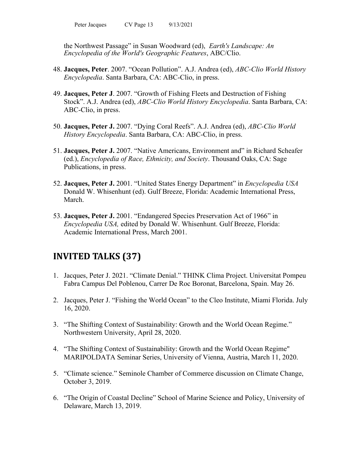the Northwest Passage" in Susan Woodward (ed), *Earth's Landscape: An Encyclopedia of the World's Geographic Features*, ABC/Clio.

- 48. **Jacques, Peter**. 2007. "Ocean Pollution". A.J. Andrea (ed), *ABC-Clio World History Encyclopedia*. Santa Barbara, CA: ABC-Clio, in press.
- 49. **Jacques, Peter J**. 2007. "Growth of Fishing Fleets and Destruction of Fishing Stock". A.J. Andrea (ed), *ABC-Clio World History Encyclopedia*. Santa Barbara, CA: ABC-Clio, in press.
- 50. **Jacques, Peter J.** 2007. "Dying Coral Reefs". A.J. Andrea (ed), *ABC-Clio World History Encyclopedia*. Santa Barbara, CA: ABC-Clio, in press.
- 51. **Jacques, Peter J.** 2007. "Native Americans, Environment and" in Richard Scheafer (ed.), *Encyclopedia of Race, Ethnicity, and Society*. Thousand Oaks, CA: Sage Publications, in press.
- 52. **Jacques, Peter J.** 2001. "United States Energy Department" in *Encyclopedia USA* Donald W. Whisenhunt (ed). Gulf Breeze, Florida: Academic International Press, March.
- 53. **Jacques, Peter J.** 2001. "Endangered Species Preservation Act of 1966" in *Encyclopedia USA,* edited by Donald W. Whisenhunt. Gulf Breeze, Florida: Academic International Press, March 2001.

# **INVITED TALKS (37)**

- 1. Jacques, Peter J. 2021. "Climate Denial." THINK Clima Project. Universitat Pompeu Fabra Campus Del Poblenou, Carrer De Roc Boronat, Barcelona, Spain. May 26.
- 2. Jacques, Peter J. "Fishing the World Ocean" to the Cleo Institute, Miami Florida. July 16, 2020.
- 3. "The Shifting Context of Sustainability: Growth and the World Ocean Regime." Northwestern University, April 28, 2020.
- 4. "The Shifting Context of Sustainability: Growth and the World Ocean Regime" MARIPOLDATA Seminar Series, University of Vienna, Austria, March 11, 2020.
- 5. "Climate science." Seminole Chamber of Commerce discussion on Climate Change, October 3, 2019.
- 6. "The Origin of Coastal Decline" School of Marine Science and Policy, University of Delaware, March 13, 2019.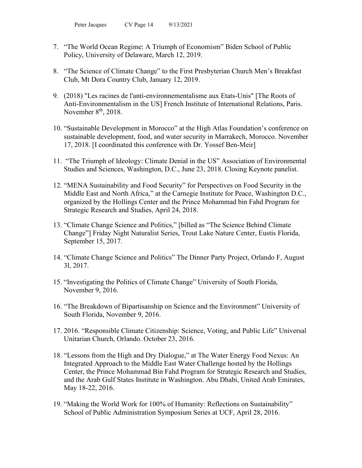- 7. "The World Ocean Regime: A Triumph of Economism" Biden School of Public Policy, University of Delaware, March 12, 2019.
- 8. "The Science of Climate Change" to the First Presbyterian Church Men's Breakfast Club, Mt Dora Country Club, January 12, 2019.
- 9. (2018) "Les racines de l'anti-environnementalisme aux Etats-Unis" [The Roots of Anti-Environmentalism in the US] French Institute of International Relations, Paris. November 8<sup>th</sup>, 2018.
- 10. "Sustainable Development in Morocco" at the High Atlas Foundation's conference on sustainable development, food, and water security in Marrakech, Morocco. November 17, 2018. [I coordinated this conference with Dr. Yossef Ben-Meir]
- 11. "The Triumph of Ideology: Climate Denial in the US" Association of Environmental Studies and Sciences, Washington, D.C., June 23, 2018. Closing Keynote panelist.
- 12. "MENA Sustainability and Food Security" for Perspectives on Food Security in the Middle East and North Africa," at the Carnegie Institute for Peace, Washington D.C., organized by the Hollings Center and the Prince Mohammad bin Fahd Program for Strategic Research and Studies, April 24, 2018.
- 13. "Climate Change Science and Politics," [billed as "The Science Behind Climate Change"] Friday Night Naturalist Series, Trout Lake Nature Center, Eustis Florida, September 15, 2017.
- 14. "Climate Change Science and Politics" The Dinner Party Project, Orlando F, August 3l, 2017.
- 15. "Investigating the Politics of Climate Change" University of South Florida, November 9, 2016.
- 16. "The Breakdown of Bipartisanship on Science and the Environment" University of South Florida, November 9, 2016.
- 17. 2016. "Responsible Climate Citizenship: Science, Voting, and Public Life" Universal Unitarian Church, Orlando. October 23, 2016.
- 18. "Lessons from the High and Dry Dialogue," at The Water Energy Food Nexus: An Integrated Approach to the Middle East Water Challenge hosted by the Hollings Center, the Prince Mohammad Bin Fahd Program for Strategic Research and Studies, and the Arab Gulf States Institute in Washington. Abu Dhabi, United Arab Emirates, May 18-22, 2016.
- 19. "Making the World Work for 100% of Humanity: Reflections on Sustainability" School of Public Administration Symposium Series at UCF, April 28, 2016.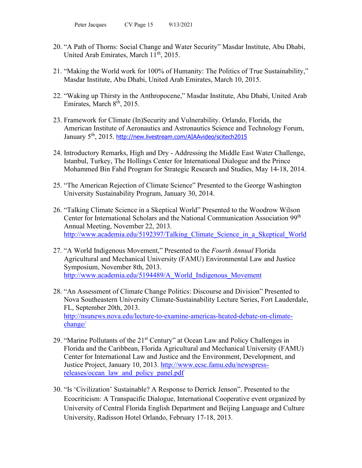- 20. "A Path of Thorns: Social Change and Water Security" Masdar Institute, Abu Dhabi, United Arab Emirates, March  $11<sup>th</sup>$ , 2015.
- 21. "Making the World work for 100% of Humanity: The Politics of True Sustainability," Masdar Institute, Abu Dhabi, United Arab Emirates, March 10, 2015.
- 22. "Waking up Thirsty in the Anthropocene," Masdar Institute, Abu Dhabi, United Arab Emirates, March 8<sup>th</sup>, 2015.
- 23. Framework for Climate (In)Security and Vulnerability. Orlando, Florida, the American Institute of Aeronautics and Astronautics Science and Technology Forum, January 5<sup>th</sup>, 2015. <http://new.livestream.com/AIAAvideo/scitech2015>
- 24. Introductory Remarks, High and Dry Addressing the Middle East Water Challenge, Istanbul, Turkey, The Hollings Center for International Dialogue and the Prince Mohammed Bin Fahd Program for Strategic Research and Studies, May 14-18, 2014.
- 25. "The American Rejection of Climate Science" Presented to the George Washington University Sustainability Program, January 30, 2014.
- 26. "Talking Climate Science in a Skeptical World" Presented to the Woodrow Wilson Center for International Scholars and the National Communication Association 99th Annual Meeting, November 22, 2013. http://www.academia.edu/5192397/Talking Climate Science in a Skeptical World
- 27. "A World Indigenous Movement," Presented to the *Fourth Annual* Florida Agricultural and Mechanical University (FAMU) Environmental Law and Justice Symposium, November 8th, 2013. [http://www.academia.edu/5194489/A\\_World\\_Indigenous\\_Movement](http://www.academia.edu/5194489/A_World_Indigenous_Movement)
- 28. "An Assessment of Climate Change Politics: Discourse and Division" Presented to Nova Southeastern University Climate-Sustainability Lecture Series, Fort Lauderdale, FL, September 20th, 2013. [http://nsunews.nova.edu/lecture-to-examine-americas-heated-debate-on-climate](http://nsunews.nova.edu/lecture-to-examine-americas-heated-debate-on-climate-change/)[change/](http://nsunews.nova.edu/lecture-to-examine-americas-heated-debate-on-climate-change/)
- 29. "Marine Pollutants of the 21<sup>st</sup> Century" at Ocean Law and Policy Challenges in Florida and the Caribbean, Florida Agricultural and Mechanical University (FAMU) Center for International Law and Justice and the Environment, Development, and Justice Project, January 10, 2013. [http://www.ecsc.famu.edu/newspress](http://www.ecsc.famu.edu/newspress-releases/ocean_law_and_policy_panel.pdf)[releases/ocean\\_law\\_and\\_policy\\_panel.pdf](http://www.ecsc.famu.edu/newspress-releases/ocean_law_and_policy_panel.pdf)
- 30. "Is 'Civilization' Sustainable? A Response to Derrick Jenson". Presented to the Ecocriticism: A Transpacific Dialogue, International Cooperative event organized by University of Central Florida English Department and Beijing Language and Culture University, Radisson Hotel Orlando, February 17-18, 2013.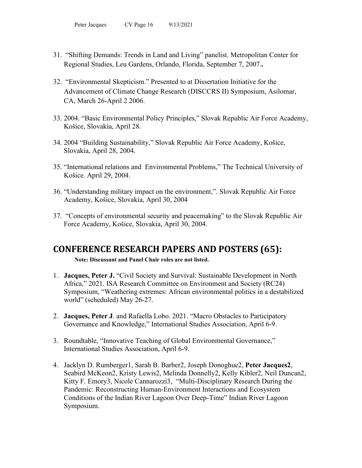- 31. "Shifting Demands: Trends in Land and Living" panelist. Metropolitan Center for Regional Studies, Leu Gardens, Orlando, Florida, September 7, 2007.**.**
- 32. "Environmental Skepticism." Presented to at Dissertation Initiative for the Advancement of Climate Change Research (DISCCRS II) Symposium, Asilomar, CA, March 26-April 2 2006.
- 33. 2004. "Basic Environmental Policy Principles," Slovak Republic Air Force Academy, Košice, Slovakia, April 28.
- 34. 2004 "Building Sustainability," Slovak Republic Air Force Academy, Košice, Slovakia, April 28, 2004.
- 35. "International relations and Environmental Problems," The Technical University of Košice. April 29, 2004.
- 36. "Understanding military impact on the environment,". Slovak Republic Air Force Academy, Košice, Slovakia, April 30, 2004
- 37. "Concepts of environmental security and peacemaking" to the Slovak Republic Air Force Academy, Košice, Slovakia, April 30, 2004.

# **CONFERENCE RESEARCH PAPERS AND POSTERS (65):**

**Note: Discussant and Panel Chair roles are not listed.**

- 1. **Jacques, Peter J.** "Civil Society and Survival: Sustainable Development in North Africa," 2021. ISA Research Committee on Environment and Society (RC24) Symposium, "Weathering extremes: African environmental politics in a destabilized world" (scheduled) May 26-27.
- 2. **Jacques, Peter J**. and Rafaella Lobo. 2021. "Macro Obstacles to Participatory Governance and Knowledge," International Studies Association, April 6-9.
- 3. Roundtable, "Innovative Teaching of Global Environmental Governance," International Studies Association, April 6-9.
- 4. Jacklyn D. Rumberger1, Sarah B. Barber2, Joseph Donoghue2, **Peter Jacques2**, Seabird McKeon2, Kristy Lewis2, Melinda Donnelly2, Kelly Kibler2, Neil Duncan2, Kitty F. Emory3, Nicole Cannarozzi3, "Multi-Disciplinary Research During the Pandemic: Reconstructing Human-Environment Interactions and Ecosystem Conditions of the Indian River Lagoon Over Deep-Time" Indian River Lagoon Symposium.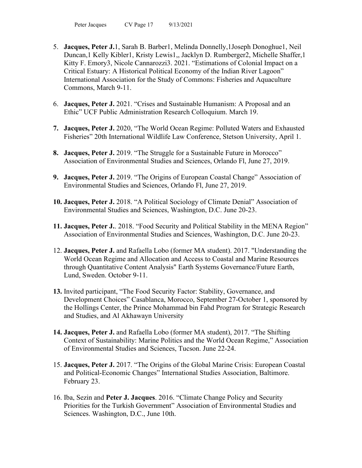- 5. **Jacques, Peter J.**1, Sarah B. Barber1, Melinda Donnelly,1Joseph Donoghue1, Neil Duncan,1 Kelly Kibler1, Kristy Lewis1,, Jacklyn D. Rumberger2, Michelle Shaffer,1 Kitty F. Emory3, Nicole Cannarozzi3. 2021. "Estimations of Colonial Impact on a Critical Estuary: A Historical Political Economy of the Indian River Lagoon" International Association for the Study of Commons: Fisheries and Aquaculture Commons, March 9-11.
- 6. **Jacques, Peter J.** 2021. "Crises and Sustainable Humanism: A Proposal and an Ethic" UCF Public Administration Research Colloquium. March 19.
- **7. Jacques, Peter J.** 2020, "The World Ocean Regime: Polluted Waters and Exhausted Fisheries" 20th International Wildlife Law Conference, Stetson University, April 1.
- **8. Jacques, Peter J.** 2019. "The Struggle for a Sustainable Future in Morocco" Association of Environmental Studies and Sciences, Orlando Fl, June 27, 2019.
- **9. Jacques, Peter J.** 2019. "The Origins of European Coastal Change" Association of Environmental Studies and Sciences, Orlando Fl, June 27, 2019.
- **10. Jacques, Peter J.** 2018. "A Political Sociology of Climate Denial" Association of Environmental Studies and Sciences, Washington, D.C. June 20-23.
- **11. Jacques, Peter J.**. 2018. "Food Security and Political Stability in the MENA Region" Association of Environmental Studies and Sciences, Washington, D.C. June 20-23.
- 12. **Jacques, Peter J.** and Rafaella Lobo (former MA student). 2017. "Understanding the World Ocean Regime and Allocation and Access to Coastal and Marine Resources through Quantitative Content Analysis" Earth Systems Governance/Future Earth, Lund, Sweden. October 9-11.
- **13.** Invited participant, "The Food Security Factor: Stability, Governance, and Development Choices" Casablanca, Morocco, September 27-October 1, sponsored by the Hollings Center, the Prince Mohammad bin Fahd Program for Strategic Research and Studies, and Al Akhawayn University
- **14. Jacques, Peter J.** and Rafaella Lobo (former MA student), 2017. "The Shifting Context of Sustainability: Marine Politics and the World Ocean Regime," Association of Environmental Studies and Sciences, Tucson. June 22-24.
- 15. **Jacques, Peter J.** 2017. "The Origins of the Global Marine Crisis: European Coastal and Political-Economic Changes" International Studies Association, Baltimore. February 23.
- 16. Iba, Sezin and **Peter J. Jacques**. 2016. "Climate Change Policy and Security Priorities for the Turkish Government" Association of Environmental Studies and Sciences. Washington, D.C., June 10th.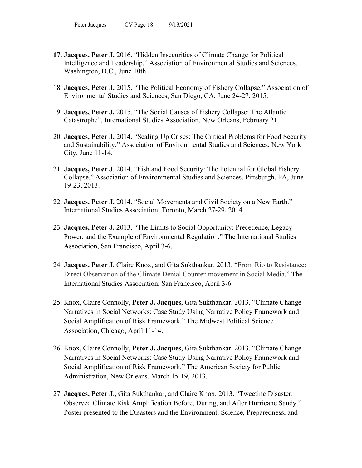- **17. Jacques, Peter J.** 2016. "Hidden Insecurities of Climate Change for Political Intelligence and Leadership," Association of Environmental Studies and Sciences. Washington, D.C., June 10th.
- 18. **Jacques, Peter J.** 2015. "The Political Economy of Fishery Collapse." Association of Environmental Studies and Sciences, San Diego, CA, June 24-27, 2015.
- 19. **Jacques, Peter J.** 2015. "The Social Causes of Fishery Collapse: The Atlantic Catastrophe". International Studies Association, New Orleans, February 21.
- 20. **Jacques, Peter J.** 2014. "Scaling Up Crises: The Critical Problems for Food Security and Sustainability." Association of Environmental Studies and Sciences, New York City, June 11-14.
- 21. **Jacques, Peter J**. 2014. "Fish and Food Security: The Potential for Global Fishery Collapse." Association of Environmental Studies and Sciences, Pittsburgh, PA, June 19-23, 2013.
- 22. **Jacques, Peter J.** 2014. "Social Movements and Civil Society on a New Earth." International Studies Association, Toronto, March 27-29, 2014.
- 23. **Jacques, Peter J.** 2013. "The Limits to Social Opportunity: Precedence, Legacy Power, and the Example of Environmental Regulation." The International Studies Association, San Francisco, April 3-6.
- 24. **Jacques, Peter J**, Claire Knox, and Gita Sukthankar. 2013. "From Rio to Resistance: Direct Observation of the Climate Denial Counter-movement in Social Media." The International Studies Association, San Francisco, April 3-6.
- 25. Knox, Claire Connolly, **Peter J. Jacques**, Gita Sukthankar. 2013. "Climate Change Narratives in Social Networks: Case Study Using Narrative Policy Framework and Social Amplification of Risk Framework." The Midwest Political Science Association, Chicago, April 11-14.
- 26. Knox, Claire Connolly, **Peter J. Jacques**, Gita Sukthankar. 2013. "Climate Change Narratives in Social Networks: Case Study Using Narrative Policy Framework and Social Amplification of Risk Framework." The American Society for Public Administration, New Orleans, March 15-19, 2013.
- 27. **Jacques, Peter J**., Gita Sukthankar, and Claire Knox. 2013. "Tweeting Disaster: Observed Climate Risk Amplification Before, During, and After Hurricane Sandy." Poster presented to the Disasters and the Environment: Science, Preparedness, and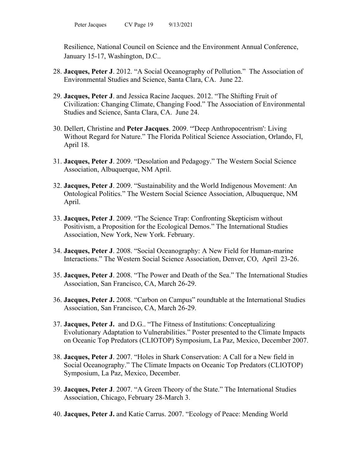Resilience, National Council on Science and the Environment Annual Conference, January 15-17, Washington, D.C..

- 28. **Jacques, Peter J**. 2012. "A Social Oceanography of Pollution." The Association of Environmental Studies and Science, Santa Clara, CA. June 22.
- 29. **Jacques, Peter J**. and Jessica Racine Jacques. 2012. "The Shifting Fruit of Civilization: Changing Climate, Changing Food." The Association of Environmental Studies and Science, Santa Clara, CA. June 24.
- 30. Dellert, Christine and **Peter Jacques**. 2009. "'Deep Anthropocentrism': Living Without Regard for Nature." The Florida Political Science Association, Orlando, Fl, April 18.
- 31. **Jacques, Peter J**. 2009. "Desolation and Pedagogy." The Western Social Science Association, Albuquerque, NM April.
- 32. **Jacques, Peter J**. 2009. "Sustainability and the World Indigenous Movement: An Ontological Politics." The Western Social Science Association, Albuquerque, NM April.
- 33. **Jacques, Peter J**. 2009. "The Science Trap: Confronting Skepticism without Positivism, a Proposition for the Ecological Demos." The International Studies Association, New York, New York. February.
- 34. **Jacques, Peter J**. 2008. "Social Oceanography: A New Field for Human-marine Interactions." The Western Social Science Association, Denver, CO, April 23-26.
- 35. **Jacques, Peter J**. 2008. "The Power and Death of the Sea." The International Studies Association, San Francisco, CA, March 26-29.
- 36. **Jacques, Peter J.** 2008. "Carbon on Campus" roundtable at the International Studies Association, San Francisco, CA, March 26-29.
- 37. **Jacques, Peter J.** and D.G.. "The Fitness of Institutions: Conceptualizing Evolutionary Adaptation to Vulnerabilities." Poster presented to the Climate Impacts on Oceanic Top Predators (CLIOTOP) Symposium, La Paz, Mexico, December 2007.
- 38. **Jacques, Peter J**. 2007. "Holes in Shark Conservation: A Call for a New field in Social Oceanography." The Climate Impacts on Oceanic Top Predators (CLIOTOP) Symposium, La Paz, Mexico, December.
- 39. **Jacques, Peter J**. 2007. "A Green Theory of the State." The International Studies Association, Chicago, February 28-March 3.
- 40. **Jacques, Peter J.** and Katie Carrus. 2007. "Ecology of Peace: Mending World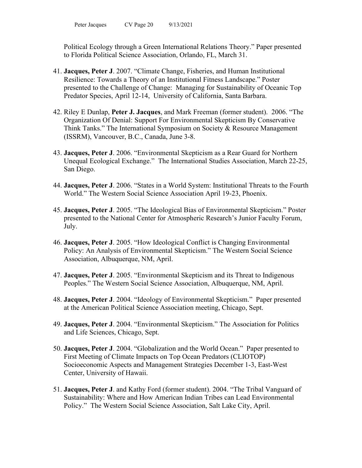Political Ecology through a Green International Relations Theory." Paper presented to Florida Political Science Association, Orlando, FL, March 31.

- 41. **Jacques, Peter J**. 2007. "Climate Change, Fisheries, and Human Institutional Resilience: Towards a Theory of an Institutional Fitness Landscape." Poster presented to the Challenge of Change: Managing for Sustainability of Oceanic Top Predator Species, April 12-14, University of California, Santa Barbara.
- 42. Riley E Dunlap, **Peter J. Jacques**, and Mark Freeman (former student). 2006. "The Organization Of Denial: Support For Environmental Skepticism By Conservative Think Tanks." The International Symposium on Society & Resource Management (ISSRM), Vancouver, B.C., Canada, June 3-8.
- 43. **Jacques, Peter J**. 2006. "Environmental Skepticism as a Rear Guard for Northern Unequal Ecological Exchange." The International Studies Association, March 22-25, San Diego.
- 44. **Jacques, Peter J**. 2006. "States in a World System: Institutional Threats to the Fourth World." The Western Social Science Association April 19-23, Phoenix.
- 45. **Jacques, Peter J**. 2005. "The Ideological Bias of Environmental Skepticism." Poster presented to the National Center for Atmospheric Research's Junior Faculty Forum, July.
- 46. **Jacques, Peter J**. 2005. "How Ideological Conflict is Changing Environmental Policy: An Analysis of Environmental Skepticism." The Western Social Science Association, Albuquerque, NM, April.
- 47. **Jacques, Peter J**. 2005. "Environmental Skepticism and its Threat to Indigenous Peoples." The Western Social Science Association, Albuquerque, NM, April.
- 48. **Jacques, Peter J**. 2004. "Ideology of Environmental Skepticism." Paper presented at the American Political Science Association meeting, Chicago, Sept.
- 49. **Jacques, Peter J**. 2004. "Environmental Skepticism." The Association for Politics and Life Sciences, Chicago, Sept.
- 50. **Jacques, Peter J**. 2004. "Globalization and the World Ocean." Paper presented to First Meeting of Climate Impacts on Top Ocean Predators (CLIOTOP) Socioeconomic Aspects and Management Strategies December 1-3, East-West Center, University of Hawaii.
- 51. **Jacques, Peter J**. and Kathy Ford (former student). 2004. "The Tribal Vanguard of Sustainability: Where and How American Indian Tribes can Lead Environmental Policy." The Western Social Science Association, Salt Lake City, April.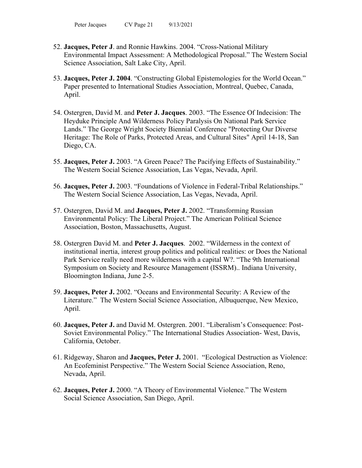- 52. **Jacques, Peter J**. and Ronnie Hawkins. 2004. "Cross-National Military Environmental Impact Assessment: A Methodological Proposal." The Western Social Science Association, Salt Lake City, April.
- 53. **Jacques, Peter J. 2004**. "Constructing Global Epistemologies for the World Ocean." Paper presented to International Studies Association, Montreal, Quebec, Canada, April.
- 54. Ostergren, David M. and **Peter J. Jacques**. 2003. "The Essence Of Indecision: The Heyduke Principle And Wilderness Policy Paralysis On National Park Service Lands." The George Wright Society Biennial Conference "Protecting Our Diverse Heritage: The Role of Parks, Protected Areas, and Cultural Sites" April 14-18, San Diego, CA.
- 55. **Jacques, Peter J.** 2003. "A Green Peace? The Pacifying Effects of Sustainability." The Western Social Science Association, Las Vegas, Nevada, April.
- 56. **Jacques, Peter J.** 2003. "Foundations of Violence in Federal-Tribal Relationships." The Western Social Science Association, Las Vegas, Nevada, April.
- 57. Ostergren, David M. and **Jacques, Peter J.** 2002. "Transforming Russian Environmental Policy: The Liberal Project." The American Political Science Association, Boston, Massachusetts, August.
- 58. Ostergren David M. and **Peter J. Jacques**. 2002. "Wilderness in the context of institutional inertia, interest group politics and political realities: or Does the National Park Service really need more wilderness with a capital W?. "The 9th International Symposium on Society and Resource Management (ISSRM).. Indiana University, Bloomington Indiana, June 2-5.
- 59. **Jacques, Peter J.** 2002. "Oceans and Environmental Security: A Review of the Literature." The Western Social Science Association, Albuquerque, New Mexico, April.
- 60. **Jacques, Peter J.** and David M. Ostergren. 2001. "Liberalism's Consequence: Post-Soviet Environmental Policy." The International Studies Association- West, Davis, California, October.
- 61. Ridgeway, Sharon and **Jacques, Peter J.** 2001. "Ecological Destruction as Violence: An Ecofeminist Perspective." The Western Social Science Association, Reno, Nevada, April.
- 62. **Jacques, Peter J.** 2000. "A Theory of Environmental Violence." The Western Social Science Association, San Diego, April.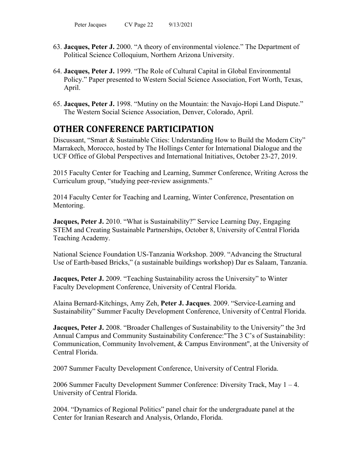- 63. **Jacques, Peter J.** 2000. "A theory of environmental violence." The Department of Political Science Colloquium, Northern Arizona University.
- 64. **Jacques, Peter J.** 1999. "The Role of Cultural Capital in Global Environmental Policy." Paper presented to Western Social Science Association, Fort Worth, Texas, April.
- 65. **Jacques, Peter J.** 1998. "Mutiny on the Mountain: the Navajo-Hopi Land Dispute." The Western Social Science Association, Denver, Colorado, April.

# **OTHER CONFERENCE PARTICIPATION**

Discussant, "Smart & Sustainable Cities: Understanding How to Build the Modern City" Marrakech, Morocco, hosted by The Hollings Center for International Dialogue and the UCF Office of Global Perspectives and International Initiatives, October 23-27, 2019.

2015 Faculty Center for Teaching and Learning, Summer Conference, Writing Across the Curriculum group, "studying peer-review assignments."

2014 Faculty Center for Teaching and Learning, Winter Conference, Presentation on Mentoring.

**Jacques, Peter J.** 2010. "What is Sustainability?" Service Learning Day, Engaging STEM and Creating Sustainable Partnerships, October 8, University of Central Florida Teaching Academy.

National Science Foundation US-Tanzania Workshop. 2009. "Advancing the Structural Use of Earth-based Bricks," (a sustainable buildings workshop) Dar es Salaam, Tanzania.

**Jacques, Peter J.** 2009. "Teaching Sustainability across the University" to Winter Faculty Development Conference, University of Central Florida.

Alaina Bernard-Kitchings, Amy Zeh, **Peter J. Jacques**. 2009. "Service-Learning and Sustainability" Summer Faculty Development Conference, University of Central Florida.

**Jacques, Peter J.** 2008. "Broader Challenges of Sustainability to the University" the 3rd Annual Campus and Community Sustainability Conference:"The 3 C's of Sustainability: Communication, Community Involvement, & Campus Environment", at the University of Central Florida.

2007 Summer Faculty Development Conference, University of Central Florida.

2006 Summer Faculty Development Summer Conference: Diversity Track, May 1 – 4. University of Central Florida.

2004. "Dynamics of Regional Politics" panel chair for the undergraduate panel at the Center for Iranian Research and Analysis, Orlando, Florida.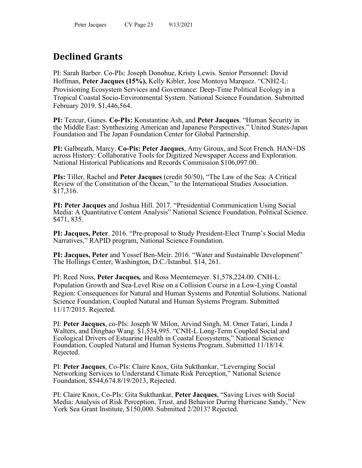# **Declined Grants**

PI: Sarah Barber. Co-PIs: Joseph Donohue, Kristy Lewis. Senior Personnel: David Hoffman, **Peter Jacques (15%),** Kelly Kibler, Jose Montoya Marquez. "CNH2-L: Provisioning Ecosystem Services and Governance: Deep-Time Political Ecology in a Tropical Coastal Socio-Environmental System. National Science Foundation. Submitted February 2019. \$1,446,564.

**PI:** Tezcur, Gunes. **Co-PIs:** Konstantine Ash, and **Peter Jacques**. "Human Security in the Middle East: Synthesizing American and Japanese Perspectives." United States-Japan Foundation and The Japan Foundation Center for Global Partnership.

**PI:** Galbreath, Marcy. **Co-Pis: Peter Jacques**, Amy Giroux, and Scot French. HAN+DS across History: Collaborative Tools for Digitized Newspaper Access and Exploration. National Historical Publications and Records Commission \$106,097.00.

**PIs:** Tiller, Rachel and **Peter Jacques** (credit 50/50), "The Law of the Sea: A Critical Review of the Constitution of the Ocean," to the International Studies Association. \$17,316.

**PI: Peter Jacques** and Joshua Hill. 2017. "Presidential Communication Using Social Media: A Quantitative Content Analysis" National Science Foundation, Political Science. \$471, 835.

**PI: Jacques, Peter**. 2016. "Pre-proposal to Study President-Elect Trump's Social Media Narratives," RAPID program, National Science Foundation.

**PI: Jacques, Peter** and Yossef Ben-Meir. 2016. "Water and Sustainable Development" The Hollings Center, Washington, D.C./Istanbul. \$14, 261.

PI: Reed Noss, **Peter Jacques***,* and Ross Meentemeyer. \$1,578,224.00. CNH-L: Population Growth and Sea-Level Rise on a Collision Course in a Low-Lying Coastal Region: Consequences for Natural and Human Systems and Potential Solutions. National Science Foundation, Coupled Natural and Human Systems Program. Submitted 11/17/2015. Rejected.

PI: **Peter Jacques**, co-PIs: Joseph W Milon, Arvind Singh, M. Omer Tatari, Linda J Walters, and Dingbao Wang. \$1,534,995. "CNH-L Long-Term Coupled Social and Ecological Drivers of Estuarine Health in Coastal Ecosystems," National Science Foundation, Coupled Natural and Human Systems Program. Submitted 11/18/14. Rejected.

PI: **Peter Jacques**, Co-PIs: Claire Knox, Gita Sukthankar, "Leveraging Social Networking Services to Understand Climate Risk Perception," National Science Foundation, \$544,674.8/19/2013, Rejected.

PI: Claire Knox, Co-PIs: Gita Sukthankar, **Peter Jacques**, "Saving Lives with Social Media: Analysis of Risk Perception, Trust, and Behavior During Hurricane Sandy," New York Sea Grant Institute, \$150,000. Submitted 2/2013? Rejected.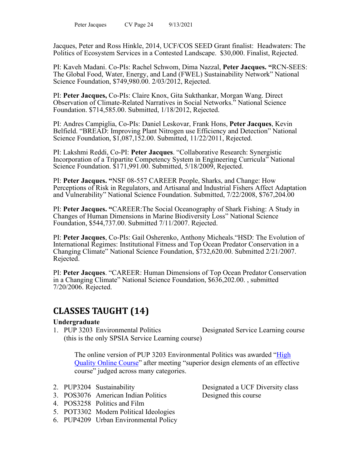Jacques, Peter and Ross Hinkle, 2014, UCF/COS SEED Grant finalist: Headwaters: The Politics of Ecosystem Services in a Contested Landscape. \$30,000. Finalist, Rejected.

PI: Kaveh Madani. Co-PIs: Rachel Schwom, Dima Nazzal, **Peter Jacques. "**RCN-SEES: The Global Food, Water, Energy, and Land (FWEL) Sustainability Network" National Science Foundation, \$749,980.00. 2/03/2012, Rejected.

PI: **Peter Jacques,** Co-PIs: Claire Knox, Gita Sukthankar, Morgan Wang. Direct Observation of Climate-Related Narratives in Social Networks." National Science Foundation. \$714,585.00. Submitted, 1/18/2012, Rejected.

PI: Andres Campiglia, Co-PIs: Daniel Leskovar, Frank Hons, **Peter Jacques**, Kevin Belfield. "BREAD: Improving Plant Nitrogen use Efficiency and Detection" National Science Foundation, \$1,087,152.00. Submitted, 11/22/2011, Rejected.

PI: Lakshmi Reddi, Co-PI: **Peter Jacques**. "Collaborative Research: Synergistic Incorporation of a Tripartite Competency System in Engineering Curricula" National Science Foundation. \$171,991.00. Submitted, 5/18/2009, Rejected.

PI: **Peter Jacques. "**NSF 08-557 CAREER People, Sharks, and Change: How Perceptions of Risk in Regulators, and Artisanal and Industrial Fishers Affect Adaptation and Vulnerability" National Science Foundation. Submitted, 7/22/2008, \$767,204.00

PI: **Peter Jacques. "**CAREER:The Social Oceanography of Shark Fishing: A Study in Changes of Human Dimensions in Marine Biodiversity Loss" National Science Foundation, \$544,737.00. Submitted 7/11/2007. Rejected.

PI: **Peter Jacques**, Co-PIs: Gail Osherenko, Anthony Micheals."HSD: The Evolution of International Regimes: Institutional Fitness and Top Ocean Predator Conservation in a Changing Climate" National Science Foundation, \$732,620.00. Submitted 2/21/2007. Rejected.

PI: **Peter Jacques**. "CAREER: Human Dimensions of Top Ocean Predator Conservation in a Changing Climate" National Science Foundation, \$636,202.00. , submitted 7/20/2006. Rejected.

# **CLASSES TAUGHT (14)**

#### **Undergraduate**

1. PUP 3203 Environmental Politics Designated Service Learning course (this is the only SPSIA Service Learning course)

The online version of PUP 3203 Environmental Politics was awarded "High [Quality Online Course"](https://cdl.ucf.edu/high-quality-course-badge/) after meeting "superior design elements of an effective course" judged across many categories.

- 
- 3. POS3076 American Indian Politics Designed this course
- 4. POS3258 Politics and Film
- 5. POT3302 Modern Political Ideologies
- 6. PUP4209 Urban Environmental Policy

2. PUP3204 Sustainability Designated a UCF Diversity class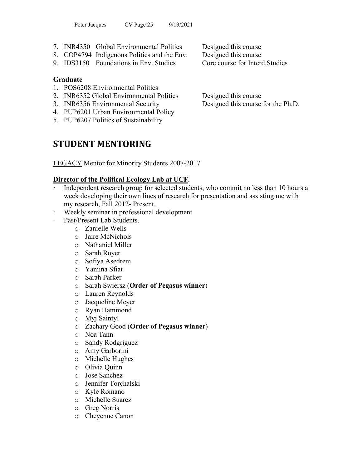- 7. INR4350 Global Environmental Politics Designed this course
- 8. COP4794 Indigenous Politics and the Env. Designed this course
- 9. IDS3150 Foundations in Env. Studies Core course for Interd. Studies

## **Graduate**

- 1. POS6208 Environmental Politics
- 2. INR6352 Global Environmental Politics Designed this course
- 3. INR6356 Environmental Security Designed this course for the Ph.D.
- 4. PUP6201 Urban Environmental Policy
- 5. PUP6207 Politics of Sustainability

# **STUDENT MENTORING**

LEGACY Mentor for Minority Students 2007-2017

# **Director of the Political Ecology Lab at UCF.**

- Independent research group for selected students, who commit no less than 10 hours a week developing their own lines of research for presentation and assisting me with my research, Fall 2012- Present.
- Weekly seminar in professional development
- Past/Present Lab Students.
	- o Zanielle Wells
	- o Jaire McNichols
	- o Nathaniel Miller
	- o Sarah Royer
	- o Sofiya Asedrem
	- o Yamina Sfiat
	- o Sarah Parker
	- o Sarah Swiersz (**Order of Pegasus winner**)
	- o Lauren Reynolds
	- o Jacqueline Meyer
	- o Ryan Hammond
	- o Myj Saintyl
	- o Zachary Good (**Order of Pegasus winner**)
	- o Noa Tann
	- o Sandy Rodgriguez
	- o Amy Garborini
	- o Michelle Hughes
	- o Olivia Quinn
	- o Jose Sanchez
	- o Jennifer Torchalski
	- o Kyle Romano
	- o Michelle Suarez
	- o Greg Norris
	- o Cheyenne Canon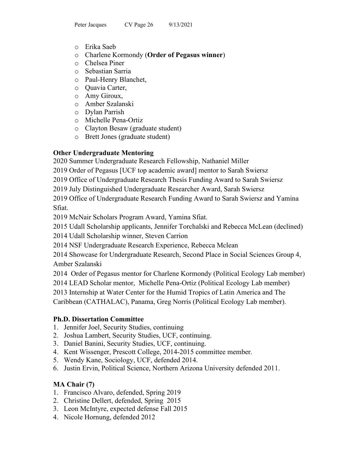- o Erika Saeb
- o Charlene Kormondy (**Order of Pegasus winner**)
- o Chelsea Piner
- o Sebastian Sarria
- o Paul-Henry Blanchet,
- o Quavia Carter,
- o Amy Giroux,
- o Amber Szalanski
- o Dylan Parrish
- o Michelle Pena-Ortiz
- o Clayton Besaw (graduate student)
- o Brett Jones (graduate student)

# **Other Undergraduate Mentoring**

2020 Summer Undergraduate Research Fellowship, Nathaniel Miller

2019 Order of Pegasus [UCF top academic award] mentor to Sarah Swiersz

2019 Office of Undergraduate Research Thesis Funding Award to Sarah Swiersz

2019 July Distinguished Undergraduate Researcher Award, Sarah Swiersz

2019 Office of Undergraduate Research Funding Award to Sarah Swiersz and Yamina Sfiat.

2019 McNair Scholars Program Award, Yamina Sfiat.

2015 Udall Scholarship applicants, Jennifer Torchalski and Rebecca McLean (declined)

2014 Udall Scholarship winner, Steven Carrion

2014 NSF Undergraduate Research Experience, Rebecca Mclean

2014 Showcase for Undergraduate Research, Second Place in Social Sciences Group 4, Amber Szalanski

2014 Order of Pegasus mentor for Charlene Kormondy (Political Ecology Lab member)

2014 LEAD Scholar mentor, Michelle Pena-Ortiz (Political Ecology Lab member)

2013 Internship at Water Center for the Humid Tropics of Latin America and The

Caribbean (CATHALAC), Panama, Greg Norris (Political Ecology Lab member).

# **Ph.D. Dissertation Committee**

- 1. Jennifer Joel, Security Studies, continuing
- 2. Joshua Lambert, Security Studies, UCF, continuing.
- 3. Daniel Banini, Security Studies, UCF, continuing.
- 4. Kent Wissenger, Prescott College, 2014-2015 committee member.
- 5. Wendy Kane, Sociology, UCF, defended 2014.
- 6. Justin Ervin, Political Science, Northern Arizona University defended 2011.

# **MA Chair (7)**

- 1. Francisco Alvaro, defended, Spring 2019
- 2. Christine Dellert, defended, Spring 2015
- 3. Leon McIntyre, expected defense Fall 2015
- 4. Nicole Hornung, defended 2012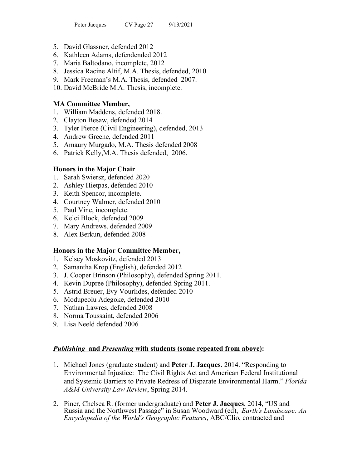- 5. David Glassner, defended 2012
- 6. Kathleen Adams, defendended 2012
- 7. Maria Baltodano, incomplete, 2012
- 8. Jessica Racine Altif, M.A. Thesis, defended, 2010
- 9. Mark Freeman's M.A. Thesis, defended 2007.
- 10. David McBride M.A. Thesis, incomplete.

## **MA Committee Member,**

- 1. William Maddens, defended 2018.
- 2. Clayton Besaw, defended 2014
- 3. Tyler Pierce (Civil Engineering), defended, 2013
- 4. Andrew Greene, defended 2011
- 5. Amaury Murgado, M.A. Thesis defended 2008
- 6. Patrick Kelly,M.A. Thesis defended, 2006.

## **Honors in the Major Chair**

- 1. Sarah Swiersz, defended 2020
- 2. Ashley Hietpas, defended 2010
- 3. Keith Spencor, incomplete.
- 4. Courtney Walmer, defended 2010
- 5. Paul Vine, incomplete.
- 6. Kelci Block, defended 2009
- 7. Mary Andrews, defended 2009
- 8. Alex Berkun, defended 2008

## **Honors in the Major Committee Member,**

- 1. Kelsey Moskovitz, defended 2013
- 2. Samantha Krop (English), defended 2012
- 3. J. Cooper Brinson (Philosophy), defended Spring 2011.
- 4. Kevin Dupree (Philosophy), defended Spring 2011.
- 5. Astrid Breuer, Evy Vourlides, defended 2010
- 6. Modupeolu Adegoke, defended 2010
- 7. Nathan Lawres, defended 2008
- 8. Norma Toussaint, defended 2006
- 9. Lisa Neeld defended 2006

# *Publishing* **and** *Presenting* **with students (some repeated from above):**

- 1. Michael Jones (graduate student) and **Peter J. Jacques**. 2014. "Responding to Environmental Injustice: The Civil Rights Act and American Federal Institutional and Systemic Barriers to Private Redress of Disparate Environmental Harm." *Florida A&M University Law Review*, Spring 2014.
- 2. Piner, Chelsea R. (former undergraduate) and **Peter J. Jacques**, 2014, "US and Russia and the Northwest Passage" in Susan Woodward (ed), *Earth's Landscape: An Encyclopedia of the World's Geographic Features*, ABC/Clio, contracted and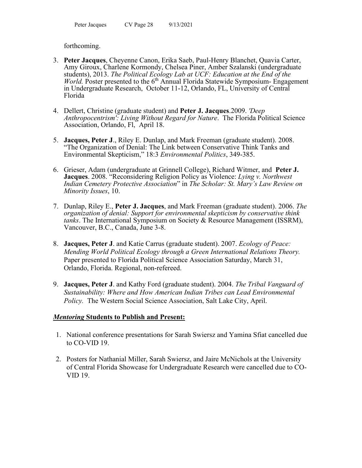## forthcoming.

- 3. **Peter Jacques**, Cheyenne Canon, Erika Saeb, Paul-Henry Blanchet, Quavia Carter, Amy Giroux, Charlene Kormondy, Chelsea Piner, Amber Szalanski (undergraduate students), 2013. *The Political Ecology Lab at UCF: Education at the End of the World.* Poster presented to the 6<sup>th</sup> Annual Florida Statewide Symposium- Engagement in Undergraduate Research, October 11-12, Orlando, FL, University of Central Florida
- 4. Dellert, Christine (graduate student) and **Peter J. Jacques**.2009. *'Deep Anthropocentrism': Living Without Regard for Nature*. The Florida Political Science Association, Orlando, Fl, April 18.
- 5. **Jacques, Peter J**., Riley E. Dunlap, and Mark Freeman (graduate student). 2008. "The Organization of Denial: The Link between Conservative Think Tanks and Environmental Skepticism," 18:3 *Environmental Politics*, 349-385.
- 6. Grieser, Adam (undergraduate at Grinnell College), Richard Witmer, and **Peter J. Jacques**. 2008. "Reconsidering Religion Policy as Violence: *Lying v. Northwest Indian Cemetery Protective Association*" in *The Scholar: St. Mary's Law Review on Minority Issues*, 10.
- 7. Dunlap, Riley E., **Peter J. Jacques**, and Mark Freeman (graduate student). 2006. *The organization of denial: Support for environmental skepticism by conservative think tanks*. The International Symposium on Society & Resource Management (ISSRM), Vancouver, B.C., Canada, June 3-8.
- 8. **Jacques, Peter J**. and Katie Carrus (graduate student). 2007. *Ecology of Peace: Mending World Political Ecology through a Green International Relations Theory.* Paper presented to Florida Political Science Association Saturday, March 31, Orlando, Florida. Regional, non-refereed.
- 9. **Jacques, Peter J**. and Kathy Ford (graduate student). 2004. *The Tribal Vanguard of Sustainability: Where and How American Indian Tribes can Lead Environmental Policy.* The Western Social Science Association, Salt Lake City, April.

## *Mentoring* **Students to Publish and Present:**

- 1. National conference presentations for Sarah Swiersz and Yamina Sfiat cancelled due to CO-VID 19.
- 2. Posters for Nathanial Miller, Sarah Swiersz, and Jaire McNichols at the University of Central Florida Showcase for Undergraduate Research were cancelled due to CO-VID 19.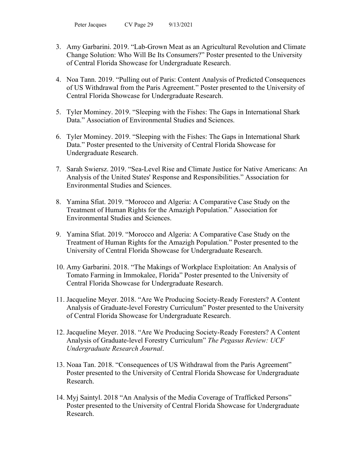- 3. Amy Garbarini. 2019. "Lab-Grown Meat as an Agricultural Revolution and Climate Change Solution: Who Will Be Its Consumers?" Poster presented to the University of Central Florida Showcase for Undergraduate Research.
- 4. Noa Tann. 2019. "Pulling out of Paris: Content Analysis of Predicted Consequences of US Withdrawal from the Paris Agreement." Poster presented to the University of Central Florida Showcase for Undergraduate Research.
- 5. Tyler Mominey. 2019. "Sleeping with the Fishes: The Gaps in International Shark Data." Association of Environmental Studies and Sciences.
- 6. Tyler Mominey. 2019. "Sleeping with the Fishes: The Gaps in International Shark Data." Poster presented to the University of Central Florida Showcase for Undergraduate Research.
- 7. Sarah Swiersz. 2019. "Sea-Level Rise and Climate Justice for Native Americans: An Analysis of the United States' Response and Responsibilities." Association for Environmental Studies and Sciences.
- 8. Yamina Sfiat. 2019. "Morocco and Algeria: A Comparative Case Study on the Treatment of Human Rights for the Amazigh Population." Association for Environmental Studies and Sciences.
- 9. Yamina Sfiat. 2019. "Morocco and Algeria: A Comparative Case Study on the Treatment of Human Rights for the Amazigh Population." Poster presented to the University of Central Florida Showcase for Undergraduate Research.
- 10. Amy Garbarini. 2018. "The Makings of Workplace Exploitation: An Analysis of Tomato Farming in Immokalee, Florida" Poster presented to the University of Central Florida Showcase for Undergraduate Research.
- 11. Jacqueline Meyer. 2018. "Are We Producing Society-Ready Foresters? A Content Analysis of Graduate-level Forestry Curriculum" Poster presented to the University of Central Florida Showcase for Undergraduate Research.
- 12. Jacqueline Meyer. 2018. "Are We Producing Society-Ready Foresters? A Content Analysis of Graduate-level Forestry Curriculum" *The Pegasus Review: UCF Undergraduate Research Journal*.
- 13. Noaa Tan. 2018. "Consequences of US Withdrawal from the Paris Agreement" Poster presented to the University of Central Florida Showcase for Undergraduate Research.
- 14. Myj Saintyl. 2018 "An Analysis of the Media Coverage of Trafficked Persons" Poster presented to the University of Central Florida Showcase for Undergraduate Research.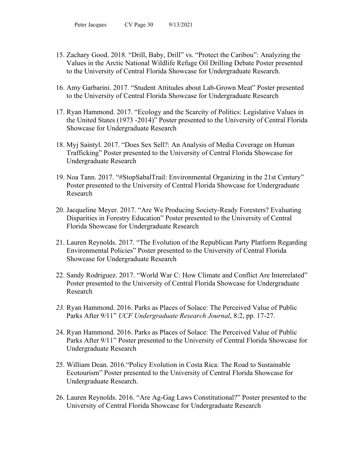- 15. Zachary Good. 2018. "Drill, Baby, Drill" vs. "Protect the Caribou": Analyzing the Values in the Arctic National Wildlife Refuge Oil Drilling Debate Poster presented to the University of Central Florida Showcase for Undergraduate Research.
- 16. Amy Garbarini. 2017. "Student Attitudes about Lab-Grown Meat" Poster presented to the University of Central Florida Showcase for Undergraduate Research
- 17. Ryan Hammond. 2017. "Ecology and the Scarcity of Politics: Legislative Values in the United States (1973 -2014)" Poster presented to the University of Central Florida Showcase for Undergraduate Research
- 18. Myj Saintyl. 2017. "Does Sex Sell?: An Analysis of Media Coverage on Human Trafficking" Poster presented to the University of Central Florida Showcase for Undergraduate Research
- 19. Noa Tann. 2017. "#StopSabalTrail: Environmental Organizing in the 21st Century" Poster presented to the University of Central Florida Showcase for Undergraduate Research
- 20. Jacqueline Meyer. 2017. "Are We Producing Society-Ready Foresters? Evaluating Disparities in Forestry Education" Poster presented to the University of Central Florida Showcase for Undergraduate Research
- 21. Lauren Reynolds. 2017. "The Evolution of the Republican Party Platform Regarding Environmental Policies" Poster presented to the University of Central Florida Showcase for Undergraduate Research
- 22. Sandy Rodriguez. 2017. "World War C: How Climate and Conflict Are Interrelated" Poster presented to the University of Central Florida Showcase for Undergraduate Research
- *23.* Ryan Hammond. 2016. Parks as Places of Solace: The Perceived Value of Public Parks After 9/11" *UCF Undergraduate Research Journal*, 8:2, pp. 17-27.
- 24. Ryan Hammond. 2016. Parks as Places of Solace: The Perceived Value of Public Parks After 9/11" Poster presented to the University of Central Florida Showcase for Undergraduate Research
- 25. William Dean. 2016."Policy Evolution in Costa Rica: The Road to Sustainable Ecotourism" Poster presented to the University of Central Florida Showcase for Undergraduate Research.
- 26. Lauren Reynolds. 2016. "Are Ag-Gag Laws Constitutional?" Poster presented to the University of Central Florida Showcase for Undergraduate Research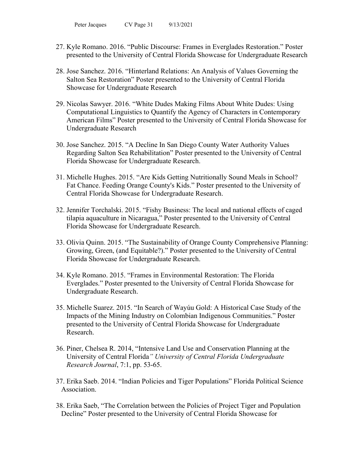- 27. Kyle Romano. 2016. "Public Discourse: Frames in Everglades Restoration." Poster presented to the University of Central Florida Showcase for Undergraduate Research
- 28. Jose Sanchez. 2016. "Hinterland Relations: An Analysis of Values Governing the Salton Sea Restoration" Poster presented to the University of Central Florida Showcase for Undergraduate Research
- 29. Nicolas Sawyer. 2016. "White Dudes Making Films About White Dudes: Using Computational Linguistics to Quantify the Agency of Characters in Contemporary American Films" Poster presented to the University of Central Florida Showcase for Undergraduate Research
- 30. Jose Sanchez. 2015. "A Decline In San Diego County Water Authority Values Regarding Salton Sea Rehabilitation" Poster presented to the University of Central Florida Showcase for Undergraduate Research.
- 31. Michelle Hughes. 2015. "Are Kids Getting Nutritionally Sound Meals in School? Fat Chance. Feeding Orange County's Kids." Poster presented to the University of Central Florida Showcase for Undergraduate Research.
- 32. Jennifer Torchalski. 2015. "Fishy Business: The local and national effects of caged tilapia aquaculture in Nicaragua," Poster presented to the University of Central Florida Showcase for Undergraduate Research.
- 33. Olivia Quinn. 2015. "The Sustainability of Orange County Comprehensive Planning: Growing, Green, (and Equitable?)." Poster presented to the University of Central Florida Showcase for Undergraduate Research.
- 34. Kyle Romano. 2015. "Frames in Environmental Restoration: The Florida Everglades." Poster presented to the University of Central Florida Showcase for Undergraduate Research.
- 35. Michelle Suarez. 2015. "In Search of Wayúu Gold: A Historical Case Study of the Impacts of the Mining Industry on Colombian Indigenous Communities." Poster presented to the University of Central Florida Showcase for Undergraduate Research.
- 36. Piner, Chelsea R. 2014, "Intensive Land Use and Conservation Planning at the University of Central Florida*" University of Central Florida Undergraduate Research Journal*, 7:1, pp. 53-65.
- 37. Erika Saeb. 2014. "Indian Policies and Tiger Populations" Florida Political Science Association.
- 38. Erika Saeb, "The Correlation between the Policies of Project Tiger and Population Decline" Poster presented to the University of Central Florida Showcase for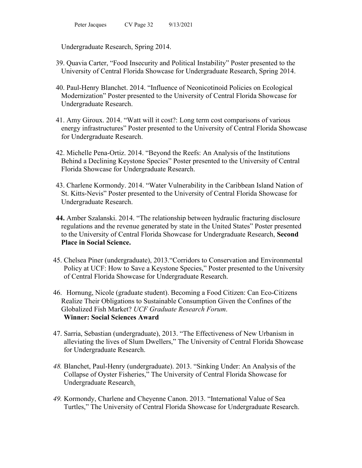Undergraduate Research, Spring 2014.

- 39. Quavia Carter, "Food Insecurity and Political Instability" Poster presented to the University of Central Florida Showcase for Undergraduate Research, Spring 2014.
- 40. Paul-Henry Blanchet. 2014. "Influence of Neonicotinoid Policies on Ecological Modernization" Poster presented to the University of Central Florida Showcase for Undergraduate Research.
- 41. Amy Giroux. 2014. "Watt will it cost?: Long term cost comparisons of various energy infrastructures" Poster presented to the University of Central Florida Showcase for Undergraduate Research.
- 42. Michelle Pena-Ortiz. 2014. "Beyond the Reefs: An Analysis of the Institutions Behind a Declining Keystone Species" Poster presented to the University of Central Florida Showcase for Undergraduate Research.
- 43. Charlene Kormondy. 2014. "Water Vulnerability in the Caribbean Island Nation of St. Kitts-Nevis" Poster presented to the University of Central Florida Showcase for Undergraduate Research.
- **44.** Amber Szalanski. 2014. "The relationship between hydraulic fracturing disclosure regulations and the revenue generated by state in the United States" Poster presented to the University of Central Florida Showcase for Undergraduate Research, **Second Place in Social Science.**
- 45. Chelsea Piner (undergraduate), 2013."Corridors to Conservation and Environmental Policy at UCF: How to Save a Keystone Species," Poster presented to the University of Central Florida Showcase for Undergraduate Research.
- 46. Hornung, Nicole (graduate student). Becoming a Food Citizen: Can Eco-Citizens Realize Their Obligations to Sustainable Consumption Given the Confines of the Globalized Fish Market? *UCF Graduate Research Forum*. **Winner: Social Sciences Award**
- 47. Sarria, Sebastian (undergraduate), 2013. "The Effectiveness of New Urbanism in alleviating the lives of Slum Dwellers," The University of Central Florida Showcase for Undergraduate Research.
- *48.* Blanchet, Paul-Henry (undergraduate). 2013. "Sinking Under: An Analysis of the Collapse of Oyster Fisheries," The University of Central Florida Showcase for Undergraduate Research.
- *49.* Kormondy, Charlene and Cheyenne Canon. 2013. "International Value of Sea Turtles," The University of Central Florida Showcase for Undergraduate Research.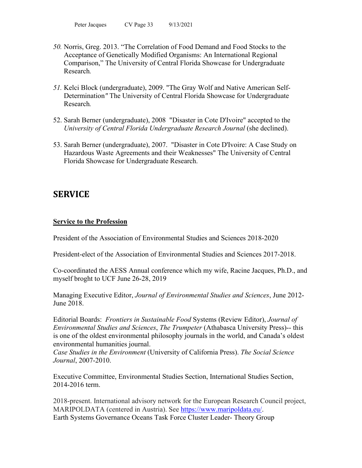- *50.* Norris, Greg. 2013. "The Correlation of Food Demand and Food Stocks to the Acceptance of Genetically Modified Organisms: An International Regional Comparison," The University of Central Florida Showcase for Undergraduate Research*.*
- *51.* Kelci Block (undergraduate), 2009. "The Gray Wolf and Native American Self-Determination*"* The University of Central Florida Showcase for Undergraduate Research*.*
- 52. Sarah Berner (undergraduate), 2008 "Disaster in Cote D'Ivoire" accepted to the *University of Central Florida Undergraduate Research Journal* (she declined).
- 53. Sarah Berner (undergraduate), 2007. "Disaster in Cote D'Ivoire: A Case Study on Hazardous Waste Agreements and their Weaknesses" The University of Central Florida Showcase for Undergraduate Research.

# **SERVICE**

## **Service to the Profession**

President of the Association of Environmental Studies and Sciences 2018-2020

President-elect of the Association of Environmental Studies and Sciences 2017-2018.

Co-coordinated the AESS Annual conference which my wife, Racine Jacques, Ph.D., and myself broght to UCF June 26-28, 2019

Managing Executive Editor, *Journal of Environmental Studies and Sciences*, June 2012- June 2018.

Editorial Boards: *Frontiers in Sustainable Food* Systems (Review Editor), *Journal of Environmental Studies and Sciences*, *The Trumpeter* (Athabasca University Press)-- this is one of the oldest environmental philosophy journals in the world, and Canada's oldest environmental humanities journal.

*Case Studies in the Environment* (University of California Press). *The Social Science Journal*, 2007-2010.

Executive Committee, Environmental Studies Section, International Studies Section, 2014-2016 term.

2018-present. International advisory network for the European Research Council project, MARIPOLDATA (centered in Austria). See [https://www.maripoldata.eu/.](https://www.maripoldata.eu/) Earth Systems Governance Oceans Task Force Cluster Leader- Theory Group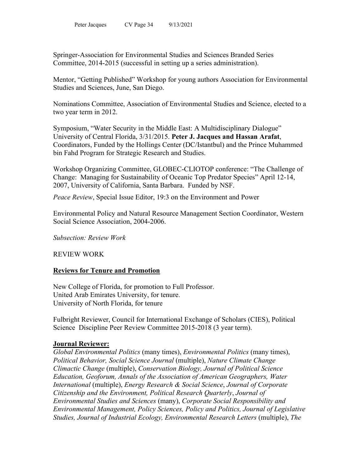Springer-Association for Environmental Studies and Sciences Branded Series Committee, 2014-2015 (successful in setting up a series administration).

Mentor, "Getting Published" Workshop for young authors Association for Environmental Studies and Sciences, June, San Diego.

Nominations Committee, Association of Environmental Studies and Science, elected to a two year term in 2012.

Symposium, "Water Security in the Middle East: A Multidisciplinary Dialogue" University of Central Florida, 3/31/2015. **Peter J. Jacques and Hassan Arafat**, Coordinators, Funded by the Hollings Center (DC/Istantbul) and the Prince Muhammed bin Fahd Program for Strategic Research and Studies.

Workshop Organizing Committee, GLOBEC-CLIOTOP conference: "The Challenge of Change: Managing for Sustainability of Oceanic Top Predator Species" April 12-14, 2007, University of California, Santa Barbara. Funded by NSF.

*Peace Review*, Special Issue Editor, 19:3 on the Environment and Power

Environmental Policy and Natural Resource Management Section Coordinator, Western Social Science Association, 2004-2006.

*Subsection: Review Work*

## REVIEW WORK

# **Reviews for Tenure and Promotion**

New College of Florida, for promotion to Full Professor. United Arab Emirates University, for tenure. University of North Florida, for tenure

Fulbright Reviewer, Council for International Exchange of Scholars (CIES), Political Science Discipline Peer Review Committee 2015-2018 (3 year term).

## **Journal Reviewer:**

*Global Environmental Politics* (many times), *Environmental Politics* (many times), *Political Behavior, Social Science Journal* (multiple), *Nature Climate Change Climactic Change* (multiple), *Conservation Biology, Journal of Political Science Education, Geoforum, Annals of the Association of American Geographers, Water International* (multiple), *Energy Research & Social Science*, *Journal of Corporate Citizenship and the Environment, Political Research Quarterly*, *Journal of Environmental Studies and Sciences* (many), *Corporate Social Responsibility and Environmental Management, Policy Sciences, Policy and Politics, Journal of Legislative Studies, Journal of Industrial Ecology, Environmental Research Letters* (multiple), *The*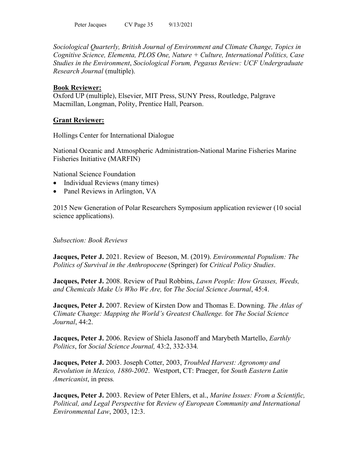*Sociological Quarterly, British Journal of Environment and Climate Change, Topics in Cognitive Science, Elementa, PLOS One, Nature + Culture, International Politics, Case Studies in the Environment*, *Sociological Forum, Pegasus Review: UCF Undergraduate Research Journal* (multiple).

## **Book Reviewer:**

Oxford UP (multiple), Elsevier, MIT Press, SUNY Press, Routledge, Palgrave Macmillan, Longman, Polity, Prentice Hall, Pearson.

## **Grant Reviewer:**

Hollings Center for International Dialogue

National Oceanic and Atmospheric Administration-National Marine Fisheries Marine Fisheries Initiative (MARFIN)

National Science Foundation

- Individual Reviews (many times)
- Panel Reviews in Arlington, VA

2015 New Generation of Polar Researchers Symposium application reviewer (10 social science applications).

## *Subsection: Book Reviews*

**Jacques, Peter J.** 2021. Review of Beeson, M. (2019). *Environmental Populism: The Politics of Survival in the Anthropocene* (Springer) for *Critical Policy Studies*.

**Jacques, Peter J.** 2008. Review of Paul Robbins, *Lawn People: How Grasses, Weeds, and Chemicals Make Us Who We Are,* for *The Social Science Journal*, 45:4.

**Jacques, Peter J.** 2007. Review of Kirsten Dow and Thomas E. Downing. *The Atlas of Climate Change: Mapping the World's Greatest Challenge.* for *The Social Science Journal*, 44:2.

**Jacques, Peter J.** 2006. Review of Shiela Jasonoff and Marybeth Martello, *Earthly Politics*, for *Social Science Journal,* 43:2, 332-334*.*

**Jacques, Peter J.** 2003. Joseph Cotter, 2003, *Troubled Harvest: Agronomy and Revolution in Mexico, 1880-2002*. Westport, CT: Praeger, for *South Eastern Latin Americanist*, in press*.*

**Jacques, Peter J.** 2003. Review of Peter Ehlers, et al., *Marine Issues: From a Scientific, Political, and Legal Perspective* for *Review of European Community and International Environmental Law*, 2003, 12:3.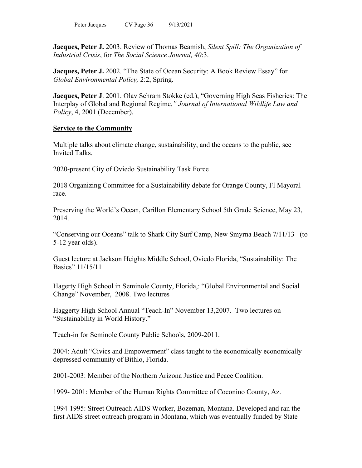**Jacques, Peter J.** 2003. Review of Thomas Beamish, *Silent Spill: The Organization of Industrial Crisis*, for *The Social Science Journal, 40*:3.

**Jacques, Peter J.** 2002. "The State of Ocean Security: A Book Review Essay" for *Global Environmental Policy,* 2:2, Spring.

**Jacques, Peter J**. 2001. Olav Schram Stokke (ed.), "Governing High Seas Fisheries: The Interplay of Global and Regional Regime,*" Journal of International Wildlife Law and Policy*, 4, 2001 (December).

## **Service to the Community**

Multiple talks about climate change, sustainability, and the oceans to the public, see Invited Talks.

2020-present City of Oviedo Sustainability Task Force

2018 Organizing Committee for a Sustainability debate for Orange County, Fl Mayoral race.

Preserving the World's Ocean, Carillon Elementary School 5th Grade Science, May 23, 2014.

"Conserving our Oceans" talk to Shark City Surf Camp, New Smyrna Beach 7/11/13 (to 5-12 year olds).

Guest lecture at Jackson Heights Middle School, Oviedo Florida, "Sustainability: The Basics" 11/15/11

Hagerty High School in Seminole County, Florida,: "Global Environmental and Social Change" November, 2008. Two lectures

Haggerty High School Annual "Teach-In" November 13,2007. Two lectures on "Sustainability in World History."

Teach-in for Seminole County Public Schools, 2009-2011.

2004: Adult "Civics and Empowerment" class taught to the economically economically depressed community of Bithlo, Florida.

2001-2003: Member of the Northern Arizona Justice and Peace Coalition.

1999- 2001: Member of the Human Rights Committee of Coconino County, Az.

1994-1995: Street Outreach AIDS Worker, Bozeman, Montana. Developed and ran the first AIDS street outreach program in Montana, which was eventually funded by State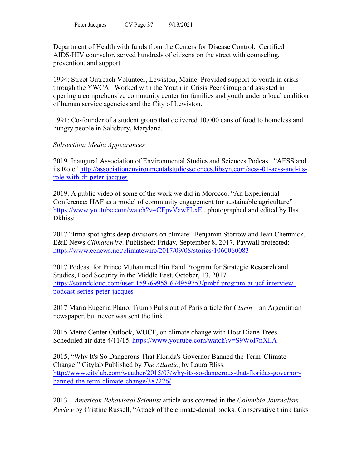Department of Health with funds from the Centers for Disease Control. Certified AIDS/HIV counselor, served hundreds of citizens on the street with counseling, prevention, and support.

1994: Street Outreach Volunteer, Lewiston, Maine. Provided support to youth in crisis through the YWCA. Worked with the Youth in Crisis Peer Group and assisted in opening a comprehensive community center for families and youth under a local coalition of human service agencies and the City of Lewiston.

1991: Co-founder of a student group that delivered 10,000 cans of food to homeless and hungry people in Salisbury, Maryland.

## *Subsection: Media Appearances*

2019. Inaugural Association of Environmental Studies and Sciences Podcast, "AESS and its Role" [http://associationenvironmentalstudiessciences.libsyn.com/aess-01-aess-and-its](http://associationenvironmentalstudiessciences.libsyn.com/aess-01-aess-and-its-role-with-dr-peter-jacques)[role-with-dr-peter-jacques](http://associationenvironmentalstudiessciences.libsyn.com/aess-01-aess-and-its-role-with-dr-peter-jacques)

2019. A public video of some of the work we did in Morocco. "An Experiential Conference: HAF as a model of community engagement for sustainable agriculture" <https://www.youtube.com/watch?v=CEpvVawFLxE>, photographed and edited by Ilas Dkhissi.

2017 "Irma spotlights deep divisions on climate" Benjamin Storrow and Jean Chemnick, E&E News *Climatewire*. Published: Friday, September 8, 2017. Paywall protected: <https://www.eenews.net/climatewire/2017/09/08/stories/1060060083>

2017 Podcast for Prince Muhammed Bin Fahd Program for Strategic Research and Studies, Food Security in the Middle East. October, 13, 2017. [https://soundcloud.com/user-159769958-674959753/pmbf-program-at-ucf-interview](https://soundcloud.com/user-159769958-674959753/pmbf-program-at-ucf-interview-podcast-series-peter-jacques)[podcast-series-peter-jacques](https://soundcloud.com/user-159769958-674959753/pmbf-program-at-ucf-interview-podcast-series-peter-jacques)

2017 Maria Eugenia Plano, Trump Pulls out of Paris article for *Clarin*—an Argentinian newspaper, but never was sent the link.

2015 Metro Center Outlook, WUCF, on climate change with Host Diane Trees. Scheduled air date 4/11/15. <https://www.youtube.com/watch?v=S9WoI7nXllA>

2015, "Why It's So Dangerous That Florida's Governor Banned the Term 'Climate Change'" Citylab Published by *The Atlantic*, by Laura Bliss. [http://www.citylab.com/weather/2015/03/why-its-so-dangerous-that-floridas-governor](http://www.citylab.com/weather/2015/03/why-its-so-dangerous-that-floridas-governor-banned-the-term-climate-change/387226/)[banned-the-term-climate-change/387226/](http://www.citylab.com/weather/2015/03/why-its-so-dangerous-that-floridas-governor-banned-the-term-climate-change/387226/)

2013 *American Behavioral Scientist* article was covered in the *Columbia Journalism Review* by Cristine Russell, "Attack of the climate-denial books: Conservative think tanks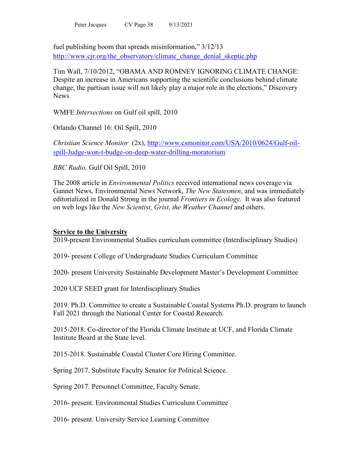fuel publishing boom that spreads misinformation," 3/12/13 [http://www.cjr.org/the\\_observatory/climate\\_change\\_denial\\_skeptic.php](http://www.cjr.org/the_observatory/climate_change_denial_skeptic.php)

Tim Wall, 7/10/2012, "OBAMA AND ROMNEY IGNORING CLIMATE CHANGE: Despite an increase in Americans supporting the scientific conclusions behind climate change, the partisan issue will not likely play a major role in the elections," Discovery **News** 

WMFE *Intersections* on Gulf oil spill, 2010

Orlando Channel 16: Oil Spill, 2010

*Christian Science Monitor* (2x), [http://www.csmonitor.com/USA/2010/0624/Gulf-oil](http://www.csmonitor.com/USA/2010/0624/Gulf-oil-spill-Judge-won-t-budge-on-deep-water-drilling-moratorium)[spill-Judge-won-t-budge-on-deep-water-drilling-moratorium](http://www.csmonitor.com/USA/2010/0624/Gulf-oil-spill-Judge-won-t-budge-on-deep-water-drilling-moratorium)

*BBC Radio,* Gulf Oil Spill, 2010

The 2008 article in *Environmental Politics* received international news coverage via Gannet News, Environmental News Network, *The New Statesmen*, and was immediately editorialized in Donald Strong in the journal *Frontiers in Ecology*. It was also featured on web logs like the *New Scientist, Grist, the Weather Channel* and others.

## **Service to the University**

2019-present Environmental Studies curriculum committee (Interdisciplinary Studies)

2019- present College of Undergraduate Studies Curriculum Committee

2020- present University Sustainable Development Master's Development Committee

2020 UCF SEED grant for Interdisciplinary Studies

2019. Ph.D. Committee to create a Sustainable Coastal Systems Ph.D. program to launch Fall 2021 through the National Center for Coastal Research.

2015-2018. Co-director of the Florida Climate Institute at UCF, and Florida Climate Institute Board at the State level.

2015-2018. Sustainable Coastal Cluster Core Hiring Committee.

Spring 2017. Substitute Faculty Senator for Political Science.

Spring 2017. Personnel Committee, Faculty Senate.

2016- present. Environmental Studies Curriculum Committee

2016- present. University Service Learning Committee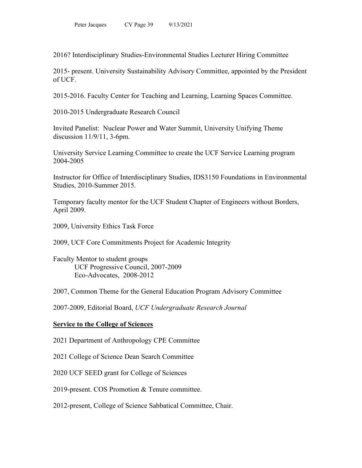2016? Interdisciplinary Studies-Environmental Studies Lecturer Hiring Committee

2015- present. University Sustainability Advisory Committee, appointed by the President of UCF.

2015-2016. Faculty Center for Teaching and Learning, Learning Spaces Committee.

2010-2015 Undergraduate Research Council

Invited Panelist: Nuclear Power and Water Summit, University Unifying Theme discussion 11/9/11, 3-6pm.

University Service Learning Committee to create the UCF Service Learning program 2004-2005

Instructor for Office of Interdisciplinary Studies, IDS3150 Foundations in Environmental Studies, 2010-Summer 2015.

Temporary faculty mentor for the UCF Student Chapter of Engineers without Borders, April 2009.

2009, University Ethics Task Force

2009, UCF Core Commitments Project for Academic Integrity

Faculty Mentor to student groups UCF Progressive Council, 2007-2009 Eco-Advocates, 2008-2012

2007, Common Theme for the General Education Program Advisory Committee

2007-2009, Editorial Board, *UCF Undergraduate Research Journal*

#### **Service to the College of Sciences**

- 2021 Department of Anthropology CPE Committee
- 2021 College of Science Dean Search Committee
- 2020 UCF SEED grant for College of Sciences
- 2019-present. COS Promotion & Tenure committee.
- 2012-present, College of Science Sabbatical Committee, Chair.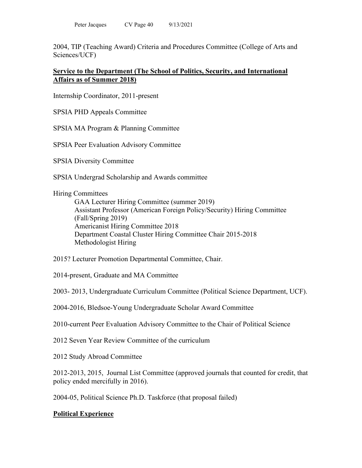2004, TIP (Teaching Award) Criteria and Procedures Committee (College of Arts and Sciences/UCF)

## **Service to the Department (The School of Politics, Security, and International Affairs as of Summer 2018)**

Internship Coordinator, 2011-present

SPSIA PHD Appeals Committee

SPSIA MA Program & Planning Committee

SPSIA Peer Evaluation Advisory Committee

SPSIA Diversity Committee

SPSIA Undergrad Scholarship and Awards committee

Hiring Committees

GAA Lecturer Hiring Committee (summer 2019) Assistant Professor (American Foreign Policy/Security) Hiring Committee (Fall/Spring 2019) Americanist Hiring Committee 2018 Department Coastal Cluster Hiring Committee Chair 2015-2018 Methodologist Hiring

2015? Lecturer Promotion Departmental Committee, Chair.

2014-present, Graduate and MA Committee

2003- 2013, Undergraduate Curriculum Committee (Political Science Department, UCF).

2004-2016, Bledsoe-Young Undergraduate Scholar Award Committee

2010-current Peer Evaluation Advisory Committee to the Chair of Political Science

2012 Seven Year Review Committee of the curriculum

2012 Study Abroad Committee

2012-2013, 2015, Journal List Committee (approved journals that counted for credit, that policy ended mercifully in 2016).

2004-05, Political Science Ph.D. Taskforce (that proposal failed)

# **Political Experience**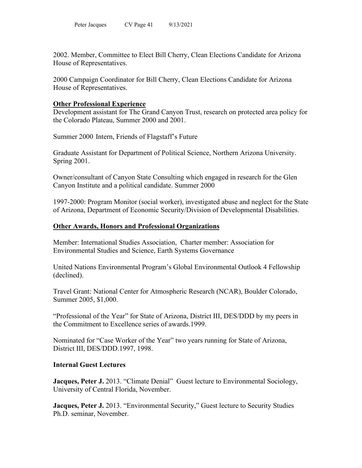2002. Member, Committee to Elect Bill Cherry, Clean Elections Candidate for Arizona House of Representatives.

2000 Campaign Coordinator for Bill Cherry, Clean Elections Candidate for Arizona House of Representatives.

## **Other Professional Experience**

Development assistant for The Grand Canyon Trust, research on protected area policy for the Colorado Plateau, Summer 2000 and 2001.

Summer 2000 Intern, Friends of Flagstaff's Future

Graduate Assistant for Department of Political Science, Northern Arizona University. Spring 2001.

Owner/consultant of Canyon State Consulting which engaged in research for the Glen Canyon Institute and a political candidate. Summer 2000

1997-2000: Program Monitor (social worker), investigated abuse and neglect for the State of Arizona, Department of Economic Security/Division of Developmental Disabilities.

## **Other Awards, Honors and Professional Organizations**

Member: International Studies Association, Charter member: Association for Environmental Studies and Science, Earth Systems Governance

United Nations Environmental Program's Global Environmental Outlook 4 Fellowship (declined).

Travel Grant: National Center for Atmospheric Research (NCAR), Boulder Colorado, Summer 2005, \$1,000.

"Professional of the Year" for State of Arizona, District III, DES/DDD by my peers in the Commitment to Excellence series of awards.1999.

Nominated for "Case Worker of the Year" two years running for State of Arizona, District III, DES/DDD.1997, 1998.

## **Internal Guest Lectures**

**Jacques, Peter J.** 2013. "Climate Denial" Guest lecture to Environmental Sociology, University of Central Florida, November.

**Jacques, Peter J.** 2013. "Environmental Security," Guest lecture to Security Studies Ph.D. seminar, November.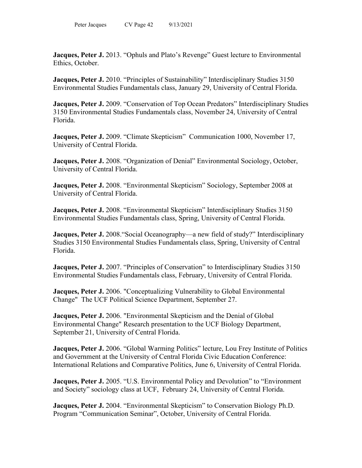**Jacques, Peter J.** 2013. "Ophuls and Plato's Revenge" Guest lecture to Environmental Ethics, October.

**Jacques, Peter J.** 2010. "Principles of Sustainability" Interdisciplinary Studies 3150 Environmental Studies Fundamentals class, January 29, University of Central Florida.

**Jacques, Peter J.** 2009. "Conservation of Top Ocean Predators" Interdisciplinary Studies 3150 Environmental Studies Fundamentals class, November 24, University of Central Florida.

**Jacques, Peter J.** 2009. "Climate Skepticism" Communication 1000, November 17, University of Central Florida.

**Jacques, Peter J.** 2008. "Organization of Denial" Environmental Sociology, October, University of Central Florida.

**Jacques, Peter J.** 2008. "Environmental Skepticism" Sociology, September 2008 at University of Central Florida.

**Jacques, Peter J.** 2008. "Environmental Skepticism" Interdisciplinary Studies 3150 Environmental Studies Fundamentals class, Spring, University of Central Florida.

**Jacques, Peter J.** 2008. "Social Oceanography—a new field of study?" Interdisciplinary Studies 3150 Environmental Studies Fundamentals class, Spring, University of Central Florida.

**Jacques, Peter J.** 2007. "Principles of Conservation" to Interdisciplinary Studies 3150 Environmental Studies Fundamentals class, February, University of Central Florida.

**Jacques, Peter J.** 2006. "Conceptualizing Vulnerability to Global Environmental Change" The UCF Political Science Department, September 27.

**Jacques, Peter J.** 2006. "Environmental Skepticism and the Denial of Global Environmental Change" Research presentation to the UCF Biology Department, September 21, University of Central Florida.

**Jacques, Peter J.** 2006. "Global Warming Politics" lecture, Lou Frey Institute of Politics and Government at the University of Central Florida Civic Education Conference: International Relations and Comparative Politics, June 6, University of Central Florida.

**Jacques, Peter J.** 2005. "U.S. Environmental Policy and Devolution" to "Environment" and Society" sociology class at UCF, February 24, University of Central Florida.

**Jacques, Peter J.** 2004. "Environmental Skepticism" to Conservation Biology Ph.D. Program "Communication Seminar", October, University of Central Florida.